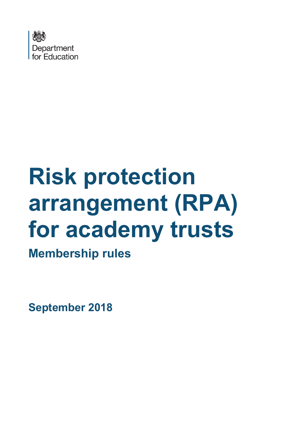

# **Risk protection arrangement (RPA) for academy trusts**

**Membership rules**

**September 2018**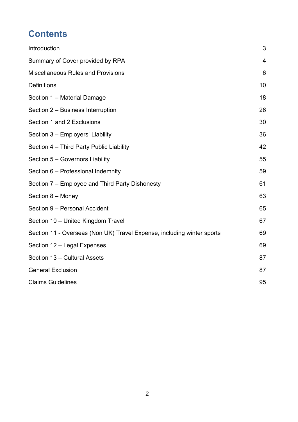# **Contents**

| Introduction                                                           | 3  |
|------------------------------------------------------------------------|----|
| Summary of Cover provided by RPA                                       | 4  |
| <b>Miscellaneous Rules and Provisions</b>                              | 6  |
| <b>Definitions</b>                                                     | 10 |
| Section 1 - Material Damage                                            | 18 |
| Section 2 - Business Interruption                                      | 26 |
| Section 1 and 2 Exclusions                                             | 30 |
| Section 3 - Employers' Liability                                       | 36 |
| Section 4 - Third Party Public Liability                               | 42 |
| Section 5 - Governors Liability                                        | 55 |
| Section 6 - Professional Indemnity                                     | 59 |
| Section 7 – Employee and Third Party Dishonesty                        | 61 |
| Section 8 - Money                                                      | 63 |
| Section 9 - Personal Accident                                          | 65 |
| Section 10 - United Kingdom Travel                                     | 67 |
| Section 11 - Overseas (Non UK) Travel Expense, including winter sports | 69 |
| Section 12 - Legal Expenses                                            | 69 |
| Section 13 - Cultural Assets                                           | 87 |
| <b>General Exclusion</b>                                               | 87 |
| <b>Claims Guidelines</b>                                               | 95 |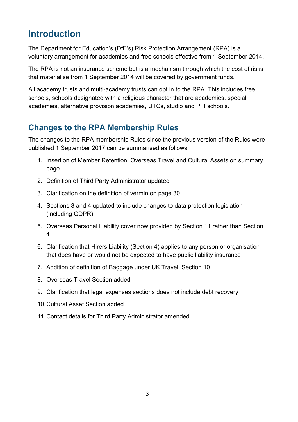## <span id="page-2-0"></span>**Introduction**

The Department for Education's (DfE's) Risk Protection Arrangement (RPA) is a voluntary arrangement for academies and free schools effective from 1 September 2014.

The RPA is not an insurance scheme but is a mechanism through which the cost of risks that materialise from 1 September 2014 will be covered by government funds.

All academy trusts and multi-academy trusts can opt in to the RPA. This includes free schools, schools designated with a religious character that are academies, special academies, alternative provision academies, UTCs, studio and PFI schools.

## **Changes to the RPA Membership Rules**

The changes to the RPA membership Rules since the previous version of the Rules were published 1 September 2017 can be summarised as follows:

- 1. Insertion of Member Retention, Overseas Travel and Cultural Assets on summary page
- 2. Definition of Third Party Administrator updated
- 3. Clarification on the definition of vermin on page 30
- 4. Sections 3 and 4 updated to include changes to data protection legislation (including GDPR)
- 5. Overseas Personal Liability cover now provided by Section 11 rather than Section 4
- 6. Clarification that Hirers Liability (Section 4) applies to any person or organisation that does have or would not be expected to have public liability insurance
- 7. Addition of definition of Baggage under UK Travel, Section 10
- 8. Overseas Travel Section added
- 9. Clarification that legal expenses sections does not include debt recovery
- 10.Cultural Asset Section added
- 11.Contact details for Third Party Administrator amended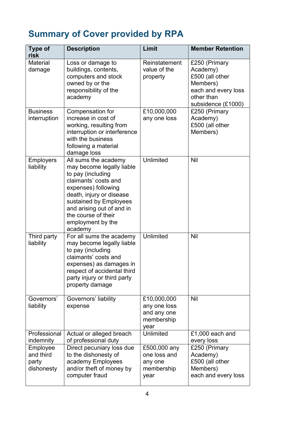# <span id="page-3-0"></span>**Summary of Cover provided by RPA**

| <b>Type of</b><br>risk                       | <b>Description</b>                                                                                                                                                                                                                                              | Limit                                                            | <b>Member Retention</b>                                                                                             |
|----------------------------------------------|-----------------------------------------------------------------------------------------------------------------------------------------------------------------------------------------------------------------------------------------------------------------|------------------------------------------------------------------|---------------------------------------------------------------------------------------------------------------------|
| <b>Material</b><br>damage                    | Loss or damage to<br>buildings, contents,<br>computers and stock<br>owned by or the<br>responsibility of the<br>academy                                                                                                                                         | Reinstatement<br>value of the<br>property                        | £250 (Primary<br>Academy)<br>£500 (all other<br>Members)<br>each and every loss<br>other than<br>subsidence (£1000) |
| <b>Business</b><br>interruption              | Compensation for<br>increase in cost of<br>working, resulting from<br>interruption or interference<br>with the business<br>following a material<br>damage loss                                                                                                  | £10,000,000<br>any one loss                                      | £250 (Primary<br>Academy)<br>£500 (all other<br>Members)                                                            |
| <b>Employers</b><br>liability                | All sums the academy<br>may become legally liable<br>to pay (including<br>claimants' costs and<br>expenses) following<br>death, injury or disease<br>sustained by Employees<br>and arising out of and in<br>the course of their<br>employment by the<br>academy | <b>Unlimited</b>                                                 | <b>Nil</b>                                                                                                          |
| Third party<br>liability                     | For all sums the academy<br>may become legally liable<br>to pay (including<br>claimants' costs and<br>expenses) as damages in<br>respect of accidental third<br>party injury or third party<br>property damage                                                  | Unlimited                                                        | <b>Nil</b>                                                                                                          |
| Governors'<br>liability                      | Governors' liability<br>expense                                                                                                                                                                                                                                 | £10,000,000<br>any one loss<br>and any one<br>membership<br>year | Nil                                                                                                                 |
| Professional<br>indemnity                    | Actual or alleged breach<br>of professional duty                                                                                                                                                                                                                | Unlimited                                                        | £1,000 each and<br>every loss                                                                                       |
| Employee<br>and third<br>party<br>dishonesty | Direct pecuniary loss due<br>to the dishonesty of<br>academy Employees<br>and/or theft of money by<br>computer fraud                                                                                                                                            | £500,000 any<br>one loss and<br>any one<br>membership<br>year    | £250 (Primary<br>Academy)<br>£500 (all other<br>Members)<br>each and every loss                                     |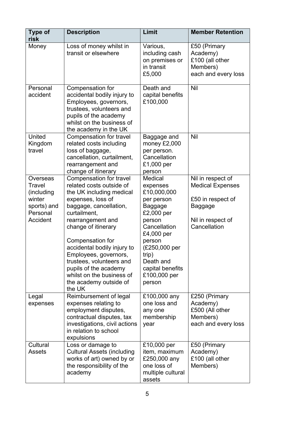| <b>Type of</b><br>risk                                                            | <b>Description</b>                                                                                                                                                                                                                                                                                                                                                                           | Limit                                                                                                                                                                                                                   | <b>Member Retention</b>                                                                                                  |
|-----------------------------------------------------------------------------------|----------------------------------------------------------------------------------------------------------------------------------------------------------------------------------------------------------------------------------------------------------------------------------------------------------------------------------------------------------------------------------------------|-------------------------------------------------------------------------------------------------------------------------------------------------------------------------------------------------------------------------|--------------------------------------------------------------------------------------------------------------------------|
| Money                                                                             | Loss of money whilst in<br>transit or elsewhere                                                                                                                                                                                                                                                                                                                                              | Various,<br>including cash<br>on premises or<br>in transit<br>£5,000                                                                                                                                                    | £50 (Primary<br>Academy)<br>£100 (all other<br>Members)<br>each and every loss                                           |
| Personal<br>accident                                                              | Compensation for<br>accidental bodily injury to<br>Employees, governors,<br>trustees, volunteers and<br>pupils of the academy<br>whilst on the business of<br>the academy in the UK                                                                                                                                                                                                          | Death and<br>capital benefits<br>£100,000                                                                                                                                                                               | Nil                                                                                                                      |
| United<br>Kingdom<br>travel                                                       | <b>Compensation for travel</b><br>related costs including<br>loss of baggage,<br>cancellation, curtailment,<br>rearrangement and<br>change of itinerary                                                                                                                                                                                                                                      | Baggage and<br>money £2,000<br>per person.<br>Cancellation<br>£1,000 per<br>person                                                                                                                                      | Nil                                                                                                                      |
| Overseas<br>Travel<br>(including<br>winter<br>sports) and<br>Personal<br>Accident | Compensation for travel<br>related costs outside of<br>the UK including medical<br>expenses, loss of<br>baggage, cancellation,<br>curtailment,<br>rearrangement and<br>change of itinerary<br>Compensation for<br>accidental bodily injury to<br>Employees, governors,<br>trustees, volunteers and<br>pupils of the academy<br>whilst on the business of<br>the academy outside of<br>the UK | Medical<br>expenses<br>£10,000,000<br>per person<br><b>Baggage</b><br>£2,000 per<br>person<br>Cancellation<br>£4,000 per<br>person<br>(£250,000 per<br>trip)<br>Death and<br>capital benefits<br>£100,000 per<br>person | Nil in respect of<br><b>Medical Expenses</b><br>£50 in respect of<br><b>Baggage</b><br>Nil in respect of<br>Cancellation |
| Legal<br>expenses                                                                 | Reimbursement of legal<br>expenses relating to<br>employment disputes,<br>contractual disputes, tax<br>investigations, civil actions<br>in relation to school<br>expulsions                                                                                                                                                                                                                  | £100,000 any<br>one loss and<br>any one<br>membership<br>year                                                                                                                                                           | £250 (Primary<br>Academy)<br>£500 (All other<br>Members)<br>each and every loss                                          |
| Cultural<br>Assets                                                                | Loss or damage to<br><b>Cultural Assets (including</b><br>works of art) owned by or<br>the responsibility of the<br>academy                                                                                                                                                                                                                                                                  | £10,000 per<br>item, maximum<br>£250,000 any<br>one loss of<br>multiple cultural<br>assets                                                                                                                              | £50 (Primary<br>Academy)<br>£100 (all other<br>Members)                                                                  |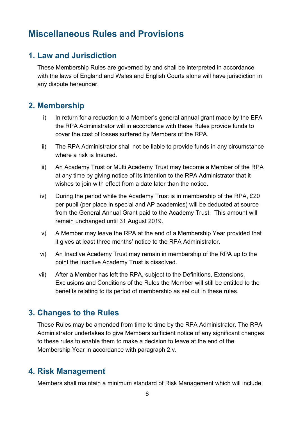## <span id="page-5-0"></span>**Miscellaneous Rules and Provisions**

#### **1. Law and Jurisdiction**

These Membership Rules are governed by and shall be interpreted in accordance with the laws of England and Wales and English Courts alone will have jurisdiction in any dispute hereunder.

#### **2. Membership**

- i) In return for a reduction to a Member's general annual grant made by the EFA the RPA Administrator will in accordance with these Rules provide funds to cover the cost of losses suffered by Members of the RPA.
- ii) The RPA Administrator shall not be liable to provide funds in any circumstance where a risk is Insured.
- iii) An Academy Trust or Multi Academy Trust may become a Member of the RPA at any time by giving notice of its intention to the RPA Administrator that it wishes to join with effect from a date later than the notice.
- iv) During the period while the Academy Trust is in membership of the RPA, £20 per pupil (per place in special and AP academies) will be deducted at source from the General Annual Grant paid to the Academy Trust. This amount will remain unchanged until 31 August 2019.
- v) A Member may leave the RPA at the end of a Membership Year provided that it gives at least three months' notice to the RPA Administrator.
- vi) An Inactive Academy Trust may remain in membership of the RPA up to the point the Inactive Academy Trust is dissolved.
- vii) After a Member has left the RPA, subject to the Definitions, Extensions, Exclusions and Conditions of the Rules the Member will still be entitled to the benefits relating to its period of membership as set out in these rules.

#### **3. Changes to the Rules**

These Rules may be amended from time to time by the RPA Administrator. The RPA Administrator undertakes to give Members sufficient notice of any significant changes to these rules to enable them to make a decision to leave at the end of the Membership Year in accordance with paragraph 2.v.

#### **4. Risk Management**

Members shall maintain a minimum standard of Risk Management which will include: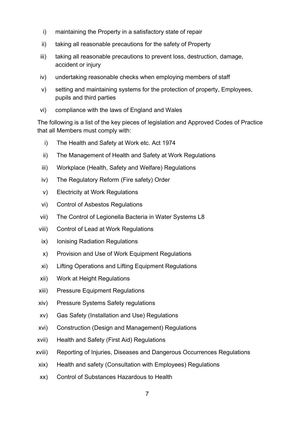- i) maintaining the Property in a satisfactory state of repair
- ii) taking all reasonable precautions for the safety of Property
- iii) taking all reasonable precautions to prevent loss, destruction, damage, accident or injury
- iv) undertaking reasonable checks when employing members of staff
- v) setting and maintaining systems for the protection of property, Employees, pupils and third parties
- vi) compliance with the laws of England and Wales

The following is a list of the key pieces of legislation and Approved Codes of Practice that all Members must comply with:

- i) The Health and Safety at Work etc. Act 1974
- ii) The Management of Health and Safety at Work Regulations
- iii) Workplace (Health, Safety and Welfare) Regulations
- iv) The Regulatory Reform (Fire safety) Order
- v) Electricity at Work Regulations
- vi) Control of Asbestos Regulations
- vii) The Control of Legionella Bacteria in Water Systems L8
- viii) Control of Lead at Work Regulations
- ix) Ionising Radiation Regulations
- x) Provision and Use of Work Equipment Regulations
- xi) Lifting Operations and Lifting Equipment Regulations
- xii) Work at Height Regulations
- xiii) Pressure Equipment Regulations
- xiv) Pressure Systems Safety regulations
- xv) Gas Safety (Installation and Use) Regulations
- xvi) Construction (Design and Management) Regulations
- xvii) Health and Safety (First Aid) Regulations
- xviii) Reporting of Injuries, Diseases and Dangerous Occurrences Regulations
- xix) Health and safety (Consultation with Employees) Regulations
- xx) Control of Substances Hazardous to Health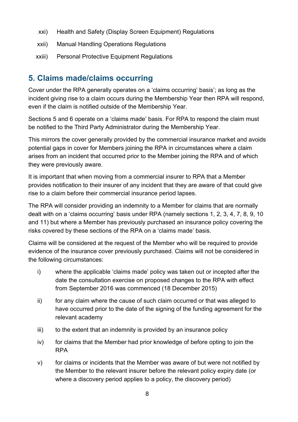- xxi) Health and Safety (Display Screen Equipment) Regulations
- xxii) Manual Handling Operations Regulations
- xxiii) Personal Protective Equipment Regulations

## **5. Claims made/claims occurring**

Cover under the RPA generally operates on a 'claims occurring' basis'; as long as the incident giving rise to a claim occurs during the Membership Year then RPA will respond, even if the claim is notified outside of the Membership Year.

Sections 5 and 6 operate on a 'claims made' basis. For RPA to respond the claim must be notified to the Third Party Administrator during the Membership Year.

This mirrors the cover generally provided by the commercial insurance market and avoids potential gaps in cover for Members joining the RPA in circumstances where a claim arises from an incident that occurred prior to the Member joining the RPA and of which they were previously aware.

It is important that when moving from a commercial insurer to RPA that a Member provides notification to their insurer of any incident that they are aware of that could give rise to a claim before their commercial insurance period lapses.

The RPA will consider providing an indemnity to a Member for claims that are normally dealt with on a 'claims occurring' basis under RPA (namely sections 1, 2, 3, 4, 7, 8, 9, 10 and 11) but where a Member has previously purchased an insurance policy covering the risks covered by these sections of the RPA on a 'claims made' basis.

Claims will be considered at the request of the Member who will be required to provide evidence of the insurance cover previously purchased. Claims will not be considered in the following circumstances:

- i) where the applicable 'claims made' policy was taken out or incepted after the date the consultation exercise on proposed changes to the RPA with effect from September 2016 was commenced (18 December 2015)
- ii) for any claim where the cause of such claim occurred or that was alleged to have occurred prior to the date of the signing of the funding agreement for the relevant academy
- iii) to the extent that an indemnity is provided by an insurance policy
- iv) for claims that the Member had prior knowledge of before opting to join the RPA
- v) for claims or incidents that the Member was aware of but were not notified by the Member to the relevant insurer before the relevant policy expiry date (or where a discovery period applies to a policy, the discovery period)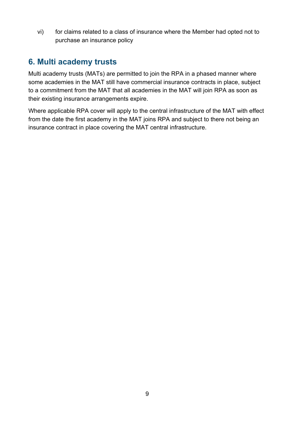vi) for claims related to a class of insurance where the Member had opted not to purchase an insurance policy

## **6. Multi academy trusts**

Multi academy trusts (MATs) are permitted to join the RPA in a phased manner where some academies in the MAT still have commercial insurance contracts in place, subject to a commitment from the MAT that all academies in the MAT will join RPA as soon as their existing insurance arrangements expire.

Where applicable RPA cover will apply to the central infrastructure of the MAT with effect from the date the first academy in the MAT joins RPA and subject to there not being an insurance contract in place covering the MAT central infrastructure.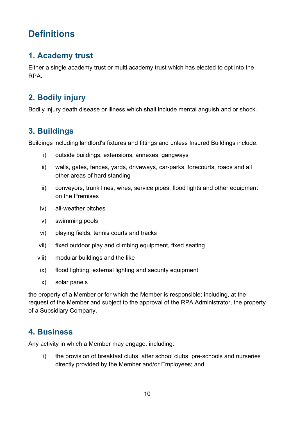# <span id="page-9-0"></span>**Definitions**

## **1. Academy trust**

Either a single academy trust or multi academy trust which has elected to opt into the RPA.

## **2. Bodily injury**

Bodily injury death disease or illness which shall include mental anguish and or shock.

## **3. Buildings**

Buildings including landlord's fixtures and fittings and unless Insured Buildings include:

- i) outside buildings, extensions, annexes, gangways
- ii) walls, gates, fences, yards, driveways, car-parks, forecourts, roads and all other areas of hard standing
- iii) conveyors, trunk lines, wires, service pipes, flood lights and other equipment on the Premises
- iv) all-weather pitches
- v) swimming pools
- vi) playing fields, tennis courts and tracks
- vii) fixed outdoor play and climbing equipment, fixed seating
- viii) modular buildings and the like
	- ix) flood lighting, external lighting and security equipment
	- x) solar panels

the property of a Member or for which the Member is responsible; including, at the request of the Member and subject to the approval of the RPA Administrator, the property of a Subsidiary Company.

## **4. Business**

Any activity in which a Member may engage, including:

i) the provision of breakfast clubs, after school clubs, pre-schools and nurseries directly provided by the Member and/or Employees; and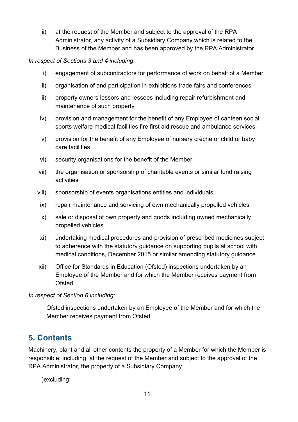ii) at the request of the Member and subject to the approval of the RPA Administrator, any activity of a Subsidiary Company which is related to the Business of the Member and has been approved by the RPA Administrator

*In respect of Sections 3 and 4 including*:

- i) engagement of subcontractors for performance of work on behalf of a Member
- ii) organisation of and participation in exhibitions trade fairs and conferences
- iii) property owners lessors and lessees including repair refurbishment and maintenance of such property
- iv) provision and management for the benefit of any Employee of canteen social sports welfare medical facilities fire first aid rescue and ambulance services
- v) provision for the benefit of any Employee of nursery crèche or child or baby care facilities
- vi) security organisations for the benefit of the Member
- vii) the organisation or sponsorship of charitable events or similar fund raising activities
- viii) sponsorship of events organisations entities and individuals
	- ix) repair maintenance and servicing of own mechanically propelled vehicles
	- x) sale or disposal of own property and goods including owned mechanically propelled vehicles
	- xi) undertaking medical procedures and provision of prescribed medicines subject to adherence with the statutory guidance on supporting pupils at school with medical conditions, December 2015 or similar amending statutory guidance
- xii) Office for Standards in Education (Ofsted) inspections undertaken by an Employee of the Member and for which the Member receives payment from Ofsted

*In respect of Section 6 including*:

Ofsted inspections undertaken by an Employee of the Member and for which the Member receives payment from Ofsted

## **5. Contents**

Machinery, plant and all other contents the property of a Member for which the Member is responsible; including, at the request of the Member and subject to the approval of the RPA Administrator, the property of a Subsidiary Company

i)excluding: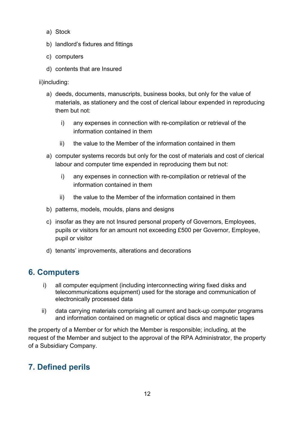- a) Stock
- b) landlord's fixtures and fittings
- c) computers
- d) contents that are Insured

ii)including:

- a) deeds, documents, manuscripts, business books, but only for the value of materials, as stationery and the cost of clerical labour expended in reproducing them but not:
	- i) any expenses in connection with re-compilation or retrieval of the information contained in them
	- ii) the value to the Member of the information contained in them
- a) computer systems records but only for the cost of materials and cost of clerical labour and computer time expended in reproducing them but not:
	- i) any expenses in connection with re-compilation or retrieval of the information contained in them
	- ii) the value to the Member of the information contained in them
- b) patterns, models, moulds, plans and designs
- c) insofar as they are not Insured personal property of Governors, Employees, pupils or visitors for an amount not exceeding £500 per Governor, Employee, pupil or visitor
- d) tenants' improvements, alterations and decorations

## **6. Computers**

- i) all computer equipment (including interconnecting wiring fixed disks and telecommunications equipment) used for the storage and communication of electronically processed data
- ii) data carrying materials comprising all current and back-up computer programs and information contained on magnetic or optical discs and magnetic tapes

the property of a Member or for which the Member is responsible; including, at the request of the Member and subject to the approval of the RPA Administrator, the property of a Subsidiary Company.

## **7. Defined perils**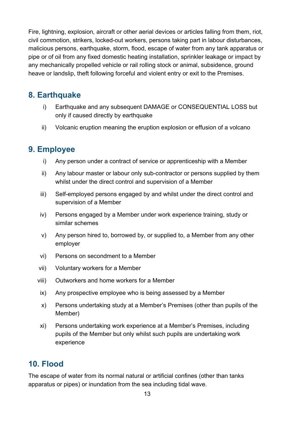Fire, lightning, explosion, aircraft or other aerial devices or articles falling from them, riot, civil commotion, strikers, locked-out workers, persons taking part in labour disturbances, malicious persons, earthquake, storm, flood, escape of water from any tank apparatus or pipe or of oil from any fixed domestic heating installation, sprinkler leakage or impact by any mechanically propelled vehicle or rail rolling stock or animal, subsidence, ground heave or landslip, theft following forceful and violent entry or exit to the Premises.

## **8. Earthquake**

- i) Earthquake and any subsequent DAMAGE or CONSEQUENTIAL LOSS but only if caused directly by earthquake
- ii) Volcanic eruption meaning the eruption explosion or effusion of a volcano

## **9. Employee**

- i) Any person under a contract of service or apprenticeship with a Member
- ii) Any labour master or labour only sub-contractor or persons supplied by them whilst under the direct control and supervision of a Member
- iii) Self-employed persons engaged by and whilst under the direct control and supervision of a Member
- iv) Persons engaged by a Member under work experience training, study or similar schemes
- v) Any person hired to, borrowed by, or supplied to, a Member from any other employer
- vi) Persons on secondment to a Member
- vii) Voluntary workers for a Member
- viii) Outworkers and home workers for a Member
	- ix) Any prospective employee who is being assessed by a Member
	- x) Persons undertaking study at a Member's Premises (other than pupils of the Member)
	- xi) Persons undertaking work experience at a Member's Premises, including pupils of the Member but only whilst such pupils are undertaking work experience

#### **10. Flood**

The escape of water from its normal natural or artificial confines (other than tanks apparatus or pipes) or inundation from the sea including tidal wave.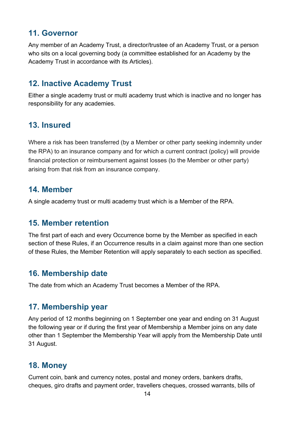## **11. Governor**

Any member of an Academy Trust, a director/trustee of an Academy Trust, or a person who sits on a local governing body (a committee established for an Academy by the Academy Trust in accordance with its Articles).

## **12. Inactive Academy Trust**

Either a single academy trust or multi academy trust which is inactive and no longer has responsibility for any academies.

## **13. Insured**

Where a risk has been transferred (by a Member or other party seeking indemnity under the RPA) to an insurance company and for which a current contract (policy) will provide financial protection or reimbursement against losses (to the Member or other party) arising from that risk from an insurance company.

#### **14. Member**

A single academy trust or multi academy trust which is a Member of the RPA.

#### **15. Member retention**

The first part of each and every Occurrence borne by the Member as specified in each section of these Rules, if an Occurrence results in a claim against more than one section of these Rules, the Member Retention will apply separately to each section as specified.

## **16. Membership date**

The date from which an Academy Trust becomes a Member of the RPA.

#### **17. Membership year**

Any period of 12 months beginning on 1 September one year and ending on 31 August the following year or if during the first year of Membership a Member joins on any date other than 1 September the Membership Year will apply from the Membership Date until 31 August.

#### **18. Money**

Current coin, bank and currency notes, postal and money orders, bankers drafts, cheques, giro drafts and payment order, travellers cheques, crossed warrants, bills of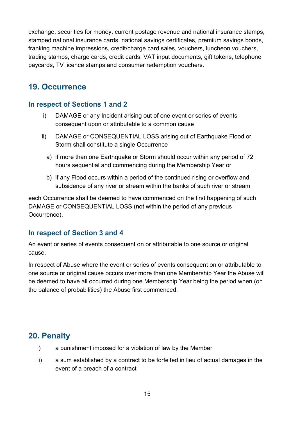exchange, securities for money, current postage revenue and national insurance stamps, stamped national insurance cards, national savings certificates, premium savings bonds, franking machine impressions, credit/charge card sales, vouchers, luncheon vouchers, trading stamps, charge cards, credit cards, VAT input documents, gift tokens, telephone paycards, TV licence stamps and consumer redemption vouchers.

## **19. Occurrence**

#### **In respect of Sections 1 and 2**

- i) DAMAGE or any Incident arising out of one event or series of events consequent upon or attributable to a common cause
- ii) DAMAGE or CONSEQUENTIAL LOSS arising out of Earthquake Flood or Storm shall constitute a single Occurrence
	- a) if more than one Earthquake or Storm should occur within any period of 72 hours sequential and commencing during the Membership Year or
	- b) if any Flood occurs within a period of the continued rising or overflow and subsidence of any river or stream within the banks of such river or stream

each Occurrence shall be deemed to have commenced on the first happening of such DAMAGE or CONSEQUENTIAL LOSS (not within the period of any previous Occurrence).

#### **In respect of Section 3 and 4**

An event or series of events consequent on or attributable to one source or original cause.

In respect of Abuse where the event or series of events consequent on or attributable to one source or original cause occurs over more than one Membership Year the Abuse will be deemed to have all occurred during one Membership Year being the period when (on the balance of probabilities) the Abuse first commenced.

## **20. Penalty**

- i) a punishment imposed for a violation of law by the Member
- ii) a sum established by a contract to be forfeited in lieu of actual damages in the event of a breach of a contract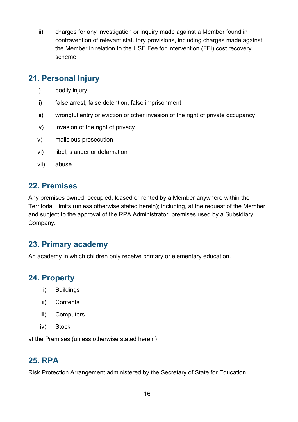iii) charges for any investigation or inquiry made against a Member found in contravention of relevant statutory provisions, including charges made against the Member in relation to the HSE Fee for Intervention (FFI) cost recovery scheme

## **21. Personal Injury**

- i) bodily injury
- ii) false arrest, false detention, false imprisonment
- iii) wrongful entry or eviction or other invasion of the right of private occupancy
- iv) invasion of the right of privacy
- v) malicious prosecution
- vi) libel, slander or defamation
- vii) abuse

## **22. Premises**

Any premises owned, occupied, leased or rented by a Member anywhere within the Territorial Limits (unless otherwise stated herein); including, at the request of the Member and subject to the approval of the RPA Administrator, premises used by a Subsidiary Company.

## **23. Primary academy**

An academy in which children only receive primary or elementary education.

## **24. Property**

- i) Buildings
- ii) Contents
- iii) Computers
- iv) Stock

at the Premises (unless otherwise stated herein)

## **25. RPA**

Risk Protection Arrangement administered by the Secretary of State for Education.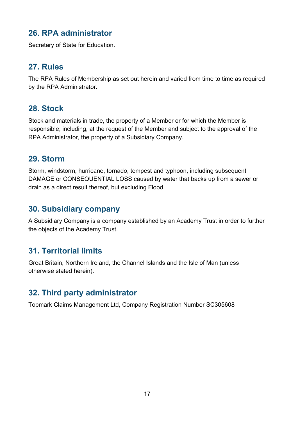## **26. RPA administrator**

Secretary of State for Education.

## **27. Rules**

The RPA Rules of Membership as set out herein and varied from time to time as required by the RPA Administrator.

## **28. Stock**

Stock and materials in trade, the property of a Member or for which the Member is responsible; including, at the request of the Member and subject to the approval of the RPA Administrator, the property of a Subsidiary Company.

#### **29. Storm**

Storm, windstorm, hurricane, tornado, tempest and typhoon, including subsequent DAMAGE or CONSEQUENTIAL LOSS caused by water that backs up from a sewer or drain as a direct result thereof, but excluding Flood.

## **30. Subsidiary company**

A Subsidiary Company is a company established by an Academy Trust in order to further the objects of the Academy Trust.

## **31. Territorial limits**

Great Britain, Northern Ireland, the Channel Islands and the Isle of Man (unless otherwise stated herein).

## **32. Third party administrator**

Topmark Claims Management Ltd, Company Registration Number SC305608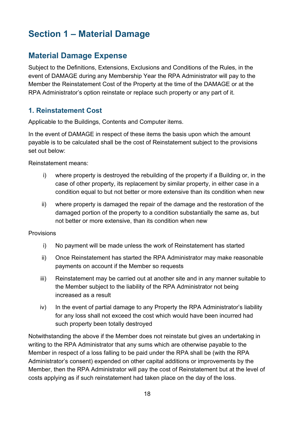# <span id="page-17-0"></span>**Section 1 – Material Damage**

## **Material Damage Expense**

Subject to the Definitions, Extensions, Exclusions and Conditions of the Rules, in the event of DAMAGE during any Membership Year the RPA Administrator will pay to the Member the Reinstatement Cost of the Property at the time of the DAMAGE or at the RPA Administrator's option reinstate or replace such property or any part of it.

#### **1. Reinstatement Cost**

Applicable to the Buildings, Contents and Computer items.

In the event of DAMAGE in respect of these items the basis upon which the amount payable is to be calculated shall be the cost of Reinstatement subject to the provisions set out below:

Reinstatement means:

- i) where property is destroyed the rebuilding of the property if a Building or, in the case of other property, its replacement by similar property, in either case in a condition equal to but not better or more extensive than its condition when new
- ii) where property is damaged the repair of the damage and the restoration of the damaged portion of the property to a condition substantially the same as, but not better or more extensive, than its condition when new

**Provisions** 

- i) No payment will be made unless the work of Reinstatement has started
- ii) Once Reinstatement has started the RPA Administrator may make reasonable payments on account if the Member so requests
- iii) Reinstatement may be carried out at another site and in any manner suitable to the Member subject to the liability of the RPA Administrator not being increased as a result
- iv) In the event of partial damage to any Property the RPA Administrator's liability for any loss shall not exceed the cost which would have been incurred had such property been totally destroyed

Notwithstanding the above if the Member does not reinstate but gives an undertaking in writing to the RPA Administrator that any sums which are otherwise payable to the Member in respect of a loss falling to be paid under the RPA shall be (with the RPA Administrator's consent) expended on other capital additions or improvements by the Member, then the RPA Administrator will pay the cost of Reinstatement but at the level of costs applying as if such reinstatement had taken place on the day of the loss.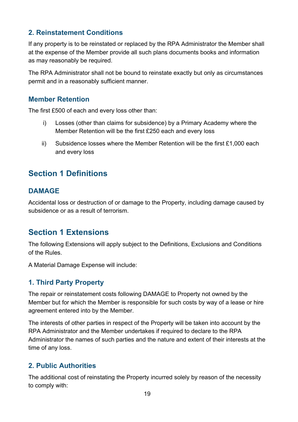#### **2. Reinstatement Conditions**

If any property is to be reinstated or replaced by the RPA Administrator the Member shall at the expense of the Member provide all such plans documents books and information as may reasonably be required.

The RPA Administrator shall not be bound to reinstate exactly but only as circumstances permit and in a reasonably sufficient manner.

#### **Member Retention**

The first £500 of each and every loss other than:

- i) Losses (other than claims for subsidence) by a Primary Academy where the Member Retention will be the first £250 each and every loss
- ii) Subsidence losses where the Member Retention will be the first  $£1,000$  each and every loss

## **Section 1 Definitions**

#### **DAMAGE**

Accidental loss or destruction of or damage to the Property, including damage caused by subsidence or as a result of terrorism.

## **Section 1 Extensions**

The following Extensions will apply subject to the Definitions, Exclusions and Conditions of the Rules.

A Material Damage Expense will include:

#### **1. Third Party Property**

The repair or reinstatement costs following DAMAGE to Property not owned by the Member but for which the Member is responsible for such costs by way of a lease or hire agreement entered into by the Member.

The interests of other parties in respect of the Property will be taken into account by the RPA Administrator and the Member undertakes if required to declare to the RPA Administrator the names of such parties and the nature and extent of their interests at the time of any loss.

#### **2. Public Authorities**

The additional cost of reinstating the Property incurred solely by reason of the necessity to comply with: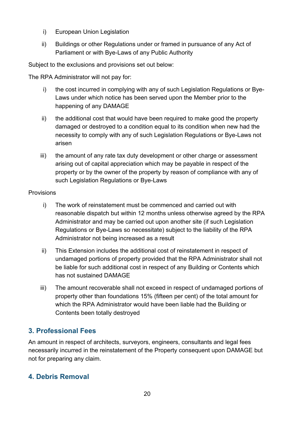- i) European Union Legislation
- ii) Buildings or other Regulations under or framed in pursuance of any Act of Parliament or with Bye-Laws of any Public Authority

Subject to the exclusions and provisions set out below:

The RPA Administrator will not pay for:

- i) the cost incurred in complying with any of such Legislation Regulations or Bye-Laws under which notice has been served upon the Member prior to the happening of any DAMAGE
- ii) the additional cost that would have been required to make good the property damaged or destroyed to a condition equal to its condition when new had the necessity to comply with any of such Legislation Regulations or Bye-Laws not arisen
- iii) the amount of any rate tax duty development or other charge or assessment arising out of capital appreciation which may be payable in respect of the property or by the owner of the property by reason of compliance with any of such Legislation Regulations or Bye-Laws

#### **Provisions**

- i) The work of reinstatement must be commenced and carried out with reasonable dispatch but within 12 months unless otherwise agreed by the RPA Administrator and may be carried out upon another site (if such Legislation Regulations or Bye-Laws so necessitate) subject to the liability of the RPA Administrator not being increased as a result
- ii) This Extension includes the additional cost of reinstatement in respect of undamaged portions of property provided that the RPA Administrator shall not be liable for such additional cost in respect of any Building or Contents which has not sustained DAMAGE
- iii) The amount recoverable shall not exceed in respect of undamaged portions of property other than foundations 15% (fifteen per cent) of the total amount for which the RPA Administrator would have been liable had the Building or Contents been totally destroyed

#### **3. Professional Fees**

An amount in respect of architects, surveyors, engineers, consultants and legal fees necessarily incurred in the reinstatement of the Property consequent upon DAMAGE but not for preparing any claim.

#### **4. Debris Removal**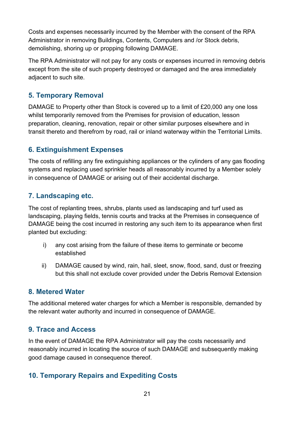Costs and expenses necessarily incurred by the Member with the consent of the RPA Administrator in removing Buildings, Contents, Computers and /or Stock debris, demolishing, shoring up or propping following DAMAGE.

The RPA Administrator will not pay for any costs or expenses incurred in removing debris except from the site of such property destroyed or damaged and the area immediately adjacent to such site.

#### **5. Temporary Removal**

DAMAGE to Property other than Stock is covered up to a limit of £20,000 any one loss whilst temporarily removed from the Premises for provision of education, lesson preparation, cleaning, renovation, repair or other similar purposes elsewhere and in transit thereto and therefrom by road, rail or inland waterway within the Territorial Limits.

#### **6. Extinguishment Expenses**

The costs of refilling any fire extinguishing appliances or the cylinders of any gas flooding systems and replacing used sprinkler heads all reasonably incurred by a Member solely in consequence of DAMAGE or arising out of their accidental discharge.

#### **7. Landscaping etc.**

The cost of replanting trees, shrubs, plants used as landscaping and turf used as landscaping, playing fields, tennis courts and tracks at the Premises in consequence of DAMAGE being the cost incurred in restoring any such item to its appearance when first planted but excluding:

- i) any cost arising from the failure of these items to germinate or become established
- ii) DAMAGE caused by wind, rain, hail, sleet, snow, flood, sand, dust or freezing but this shall not exclude cover provided under the Debris Removal Extension

#### **8. Metered Water**

The additional metered water charges for which a Member is responsible, demanded by the relevant water authority and incurred in consequence of DAMAGE.

#### **9. Trace and Access**

In the event of DAMAGE the RPA Administrator will pay the costs necessarily and reasonably incurred in locating the source of such DAMAGE and subsequently making good damage caused in consequence thereof.

#### **10. Temporary Repairs and Expediting Costs**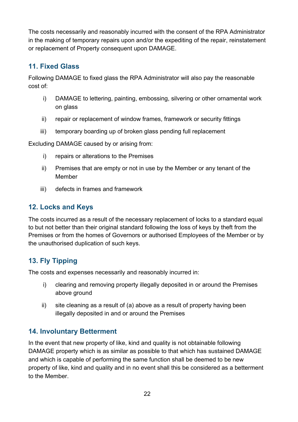The costs necessarily and reasonably incurred with the consent of the RPA Administrator in the making of temporary repairs upon and/or the expediting of the repair, reinstatement or replacement of Property consequent upon DAMAGE.

#### **11. Fixed Glass**

Following DAMAGE to fixed glass the RPA Administrator will also pay the reasonable cost of:

- i) DAMAGE to lettering, painting, embossing, silvering or other ornamental work on glass
- ii) repair or replacement of window frames, framework or security fittings
- iii) temporary boarding up of broken glass pending full replacement

Excluding DAMAGE caused by or arising from:

- i) repairs or alterations to the Premises
- ii) Premises that are empty or not in use by the Member or any tenant of the Member
- iii) defects in frames and framework

#### **12. Locks and Keys**

The costs incurred as a result of the necessary replacement of locks to a standard equal to but not better than their original standard following the loss of keys by theft from the Premises or from the homes of Governors or authorised Employees of the Member or by the unauthorised duplication of such keys.

#### **13. Fly Tipping**

The costs and expenses necessarily and reasonably incurred in:

- i) clearing and removing property illegally deposited in or around the Premises above ground
- ii) site cleaning as a result of (a) above as a result of property having been illegally deposited in and or around the Premises

#### **14. Involuntary Betterment**

In the event that new property of like, kind and quality is not obtainable following DAMAGE property which is as similar as possible to that which has sustained DAMAGE and which is capable of performing the same function shall be deemed to be new property of like, kind and quality and in no event shall this be considered as a betterment to the Member.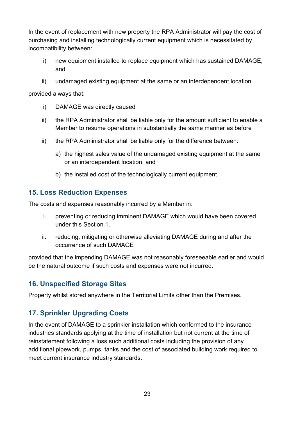In the event of replacement with new property the RPA Administrator will pay the cost of purchasing and installing technologically current equipment which is necessitated by incompatibility between:

- i) new equipment installed to replace equipment which has sustained DAMAGE, and
- ii) undamaged existing equipment at the same or an interdependent location

provided always that:

- i) DAMAGE was directly caused
- ii) the RPA Administrator shall be liable only for the amount sufficient to enable a Member to resume operations in substantially the same manner as before
- iii) the RPA Administrator shall be liable only for the difference between:
	- a) the highest sales value of the undamaged existing equipment at the same or an interdependent location, and
	- b) the installed cost of the technologically current equipment

#### **15. Loss Reduction Expenses**

The costs and expenses reasonably incurred by a Member in:

- i. preventing or reducing imminent DAMAGE which would have been covered under this Section 1.
- ii. reducing, mitigating or otherwise alleviating DAMAGE during and after the occurrence of such DAMAGE

provided that the impending DAMAGE was not reasonably foreseeable earlier and would be the natural outcome if such costs and expenses were not incurred.

#### **16. Unspecified Storage Sites**

Property whilst stored anywhere in the Territorial Limits other than the Premises.

#### **17. Sprinkler Upgrading Costs**

In the event of DAMAGE to a sprinkler installation which conformed to the insurance industries standards applying at the time of installation but not current at the time of reinstatement following a loss such additional costs including the provision of any additional pipework, pumps, tanks and the cost of associated building work required to meet current insurance industry standards.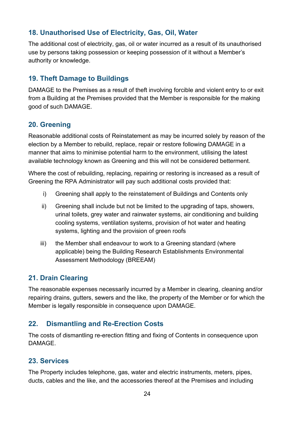#### **18. Unauthorised Use of Electricity, Gas, Oil, Water**

The additional cost of electricity, gas, oil or water incurred as a result of its unauthorised use by persons taking possession or keeping possession of it without a Member's authority or knowledge.

#### **19. Theft Damage to Buildings**

DAMAGE to the Premises as a result of theft involving forcible and violent entry to or exit from a Building at the Premises provided that the Member is responsible for the making good of such DAMAGE.

#### **20. Greening**

Reasonable additional costs of Reinstatement as may be incurred solely by reason of the election by a Member to rebuild, replace, repair or restore following DAMAGE in a manner that aims to minimise potential harm to the environment, utilising the latest available technology known as Greening and this will not be considered betterment.

Where the cost of rebuilding, replacing, repairing or restoring is increased as a result of Greening the RPA Administrator will pay such additional costs provided that:

- i) Greening shall apply to the reinstatement of Buildings and Contents only
- ii) Greening shall include but not be limited to the upgrading of taps, showers, urinal toilets, grey water and rainwater systems, air conditioning and building cooling systems, ventilation systems, provision of hot water and heating systems, lighting and the provision of green roofs
- iii) the Member shall endeavour to work to a Greening standard (where applicable) being the Building Research Establishments Environmental Assessment Methodology (BREEAM)

#### **21. Drain Clearing**

The reasonable expenses necessarily incurred by a Member in clearing, cleaning and/or repairing drains, gutters, sewers and the like, the property of the Member or for which the Member is legally responsible in consequence upon DAMAGE.

#### **22. Dismantling and Re-Erection Costs**

The costs of dismantling re-erection fitting and fixing of Contents in consequence upon **DAMAGE** 

#### **23. Services**

The Property includes telephone, gas, water and electric instruments, meters, pipes, ducts, cables and the like, and the accessories thereof at the Premises and including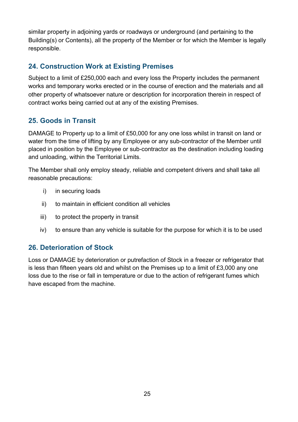similar property in adjoining yards or roadways or underground (and pertaining to the Building(s) or Contents), all the property of the Member or for which the Member is legally responsible.

#### **24. Construction Work at Existing Premises**

Subject to a limit of £250,000 each and every loss the Property includes the permanent works and temporary works erected or in the course of erection and the materials and all other property of whatsoever nature or description for incorporation therein in respect of contract works being carried out at any of the existing Premises.

#### **25. Goods in Transit**

DAMAGE to Property up to a limit of £50,000 for any one loss whilst in transit on land or water from the time of lifting by any Employee or any sub-contractor of the Member until placed in position by the Employee or sub-contractor as the destination including loading and unloading, within the Territorial Limits.

The Member shall only employ steady, reliable and competent drivers and shall take all reasonable precautions:

- i) in securing loads
- ii) to maintain in efficient condition all vehicles
- iii) to protect the property in transit
- iv) to ensure than any vehicle is suitable for the purpose for which it is to be used

#### **26. Deterioration of Stock**

Loss or DAMAGE by deterioration or putrefaction of Stock in a freezer or refrigerator that is less than fifteen years old and whilst on the Premises up to a limit of £3,000 any one loss due to the rise or fall in temperature or due to the action of refrigerant fumes which have escaped from the machine.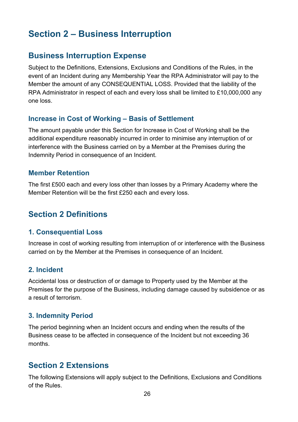# <span id="page-25-0"></span>**Section 2 – Business Interruption**

## **Business Interruption Expense**

Subject to the Definitions, Extensions, Exclusions and Conditions of the Rules, in the event of an Incident during any Membership Year the RPA Administrator will pay to the Member the amount of any CONSEQUENTIAL LOSS. Provided that the liability of the RPA Administrator in respect of each and every loss shall be limited to £10,000,000 any one loss.

#### **Increase in Cost of Working – Basis of Settlement**

The amount payable under this Section for Increase in Cost of Working shall be the additional expenditure reasonably incurred in order to minimise any interruption of or interference with the Business carried on by a Member at the Premises during the Indemnity Period in consequence of an Incident.

#### **Member Retention**

The first £500 each and every loss other than losses by a Primary Academy where the Member Retention will be the first £250 each and every loss.

## **Section 2 Definitions**

#### **1. Consequential Loss**

Increase in cost of working resulting from interruption of or interference with the Business carried on by the Member at the Premises in consequence of an Incident.

#### **2. Incident**

Accidental loss or destruction of or damage to Property used by the Member at the Premises for the purpose of the Business, including damage caused by subsidence or as a result of terrorism.

#### **3. Indemnity Period**

The period beginning when an Incident occurs and ending when the results of the Business cease to be affected in consequence of the Incident but not exceeding 36 months.

## **Section 2 Extensions**

The following Extensions will apply subject to the Definitions, Exclusions and Conditions of the Rules.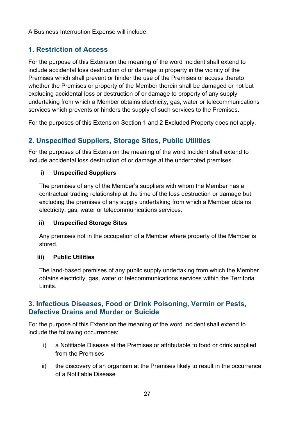A Business Interruption Expense will include:

#### **1. Restriction of Access**

For the purpose of this Extension the meaning of the word Incident shall extend to include accidental loss destruction of or damage to property in the vicinity of the Premises which shall prevent or hinder the use of the Premises or access thereto whether the Premises or property of the Member therein shall be damaged or not but excluding accidental loss or destruction of or damage to property of any supply undertaking from which a Member obtains electricity, gas, water or telecommunications services which prevents or hinders the supply of such services to the Premises.

For the purposes of this Extension Section 1 and 2 Excluded Property does not apply.

#### **2. Unspecified Suppliers, Storage Sites, Public Utilities**

For the purposes of this Extension the meaning of the word Incident shall extend to include accidental loss destruction of or damage at the undernoted premises.

#### **i) Unspecified Suppliers**

The premises of any of the Member's suppliers with whom the Member has a contractual trading relationship at the time of the loss destruction or damage but excluding the premises of any supply undertaking from which a Member obtains electricity, gas, water or telecommunications services.

#### **ii) Unspecified Storage Sites**

Any premises not in the occupation of a Member where property of the Member is stored.

#### **iii) Public Utilities**

The land-based premises of any public supply undertaking from which the Member obtains electricity, gas, water or telecommunications services within the Territorial Limits.

#### **3. Infectious Diseases, Food or Drink Poisoning, Vermin or Pests, Defective Drains and Murder or Suicide**

For the purpose of this Extension the meaning of the word Incident shall extend to include the following occurrences:

- i) a Notifiable Disease at the Premises or attributable to food or drink supplied from the Premises
- ii) the discovery of an organism at the Premises likely to result in the occurrence of a Notifiable Disease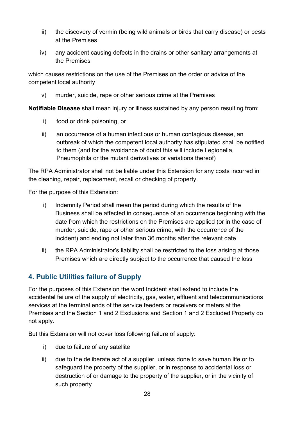- iii) the discovery of vermin (being wild animals or birds that carry disease) or pests at the Premises
- iv) any accident causing defects in the drains or other sanitary arrangements at the Premises

which causes restrictions on the use of the Premises on the order or advice of the competent local authority

v) murder, suicide, rape or other serious crime at the Premises

**Notifiable Disease** shall mean injury or illness sustained by any person resulting from:

- i) food or drink poisoning, or
- ii) an occurrence of a human infectious or human contagious disease, an outbreak of which the competent local authority has stipulated shall be notified to them (and for the avoidance of doubt this will include Legionella, Pneumophila or the mutant derivatives or variations thereof)

The RPA Administrator shall not be liable under this Extension for any costs incurred in the cleaning, repair, replacement, recall or checking of property.

For the purpose of this Extension:

- i) Indemnity Period shall mean the period during which the results of the Business shall be affected in consequence of an occurrence beginning with the date from which the restrictions on the Premises are applied (or in the case of murder, suicide, rape or other serious crime, with the occurrence of the incident) and ending not later than 36 months after the relevant date
- ii) the RPA Administrator's liability shall be restricted to the loss arising at those Premises which are directly subject to the occurrence that caused the loss

#### **4. Public Utilities failure of Supply**

For the purposes of this Extension the word Incident shall extend to include the accidental failure of the supply of electricity, gas, water, effluent and telecommunications services at the terminal ends of the service feeders or receivers or meters at the Premises and the Section 1 and 2 Exclusions and Section 1 and 2 Excluded Property do not apply.

But this Extension will not cover loss following failure of supply:

- i) due to failure of any satellite
- ii) due to the deliberate act of a supplier, unless done to save human life or to safeguard the property of the supplier, or in response to accidental loss or destruction of or damage to the property of the supplier, or in the vicinity of such property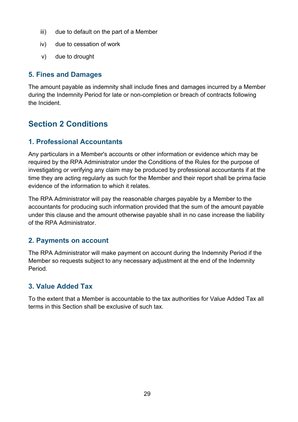- iii) due to default on the part of a Member
- iv) due to cessation of work
- v) due to drought

#### **5. Fines and Damages**

The amount payable as indemnity shall include fines and damages incurred by a Member during the Indemnity Period for late or non-completion or breach of contracts following the Incident.

## **Section 2 Conditions**

#### **1. Professional Accountants**

Any particulars in a Member's accounts or other information or evidence which may be required by the RPA Administrator under the Conditions of the Rules for the purpose of investigating or verifying any claim may be produced by professional accountants if at the time they are acting regularly as such for the Member and their report shall be prima facie evidence of the information to which it relates.

The RPA Administrator will pay the reasonable charges payable by a Member to the accountants for producing such information provided that the sum of the amount payable under this clause and the amount otherwise payable shall in no case increase the liability of the RPA Administrator.

#### **2. Payments on account**

The RPA Administrator will make payment on account during the Indemnity Period if the Member so requests subject to any necessary adjustment at the end of the Indemnity Period.

#### **3. Value Added Tax**

To the extent that a Member is accountable to the tax authorities for Value Added Tax all terms in this Section shall be exclusive of such tax.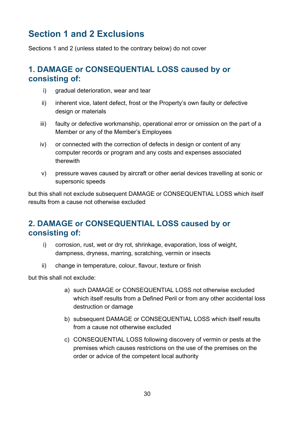# <span id="page-29-0"></span>**Section 1 and 2 Exclusions**

Sections 1 and 2 (unless stated to the contrary below) do not cover

## **1. DAMAGE or CONSEQUENTIAL LOSS caused by or consisting of:**

- i) gradual deterioration, wear and tear
- ii) inherent vice, latent defect, frost or the Property's own faulty or defective design or materials
- iii) faulty or defective workmanship, operational error or omission on the part of a Member or any of the Member's Employees
- iv) or connected with the correction of defects in design or content of any computer records or program and any costs and expenses associated therewith
- v) pressure waves caused by aircraft or other aerial devices travelling at sonic or supersonic speeds

but this shall not exclude subsequent DAMAGE or CONSEQUENTIAL LOSS which itself results from a cause not otherwise excluded

## **2. DAMAGE or CONSEQUENTIAL LOSS caused by or consisting of:**

- i) corrosion, rust, wet or dry rot, shrinkage, evaporation, loss of weight, dampness, dryness, marring, scratching, vermin or insects
- ii) change in temperature, colour, flavour, texture or finish

but this shall not exclude:

- a) such DAMAGE or CONSEQUENTIAL LOSS not otherwise excluded which itself results from a Defined Peril or from any other accidental loss destruction or damage
- b) subsequent DAMAGE or CONSEQUENTIAL LOSS which itself results from a cause not otherwise excluded
- c) CONSEQUENTIAL LOSS following discovery of vermin or pests at the premises which causes restrictions on the use of the premises on the order or advice of the competent local authority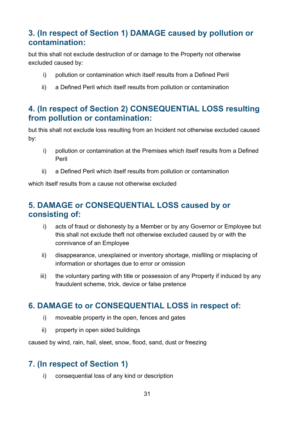## **3. (In respect of Section 1) DAMAGE caused by pollution or contamination:**

but this shall not exclude destruction of or damage to the Property not otherwise excluded caused by:

- i) pollution or contamination which itself results from a Defined Peril
- ii) a Defined Peril which itself results from pollution or contamination

## **4. (In respect of Section 2) CONSEQUENTIAL LOSS resulting from pollution or contamination:**

but this shall not exclude loss resulting from an Incident not otherwise excluded caused by:

- i) pollution or contamination at the Premises which itself results from a Defined Peril
- ii) a Defined Peril which itself results from pollution or contamination

which itself results from a cause not otherwise excluded

## **5. DAMAGE or CONSEQUENTIAL LOSS caused by or consisting of:**

- i) acts of fraud or dishonesty by a Member or by any Governor or Employee but this shall not exclude theft not otherwise excluded caused by or with the connivance of an Employee
- ii) disappearance, unexplained or inventory shortage, misfiling or misplacing of information or shortages due to error or omission
- iii) the voluntary parting with title or possession of any Property if induced by any fraudulent scheme, trick, device or false pretence

## **6. DAMAGE to or CONSEQUENTIAL LOSS in respect of:**

- i) moveable property in the open, fences and gates
- ii) property in open sided buildings

caused by wind, rain, hail, sleet, snow, flood, sand, dust or freezing

## **7. (In respect of Section 1)**

i) consequential loss of any kind or description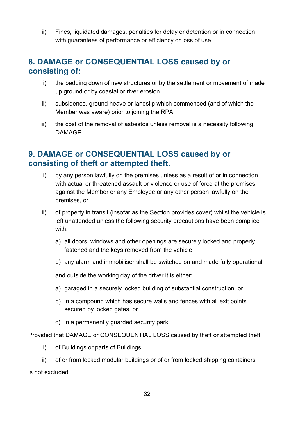ii) Fines, liquidated damages, penalties for delay or detention or in connection with guarantees of performance or efficiency or loss of use

### **8. DAMAGE or CONSEQUENTIAL LOSS caused by or consisting of:**

- i) the bedding down of new structures or by the settlement or movement of made up ground or by coastal or river erosion
- ii) subsidence, ground heave or landslip which commenced (and of which the Member was aware) prior to joining the RPA
- iii) the cost of the removal of asbestos unless removal is a necessity following DAMAGE

## **9. DAMAGE or CONSEQUENTIAL LOSS caused by or consisting of theft or attempted theft.**

- i) by any person lawfully on the premises unless as a result of or in connection with actual or threatened assault or violence or use of force at the premises against the Member or any Employee or any other person lawfully on the premises, or
- ii) of property in transit (insofar as the Section provides cover) whilst the vehicle is left unattended unless the following security precautions have been complied with:
	- a) all doors, windows and other openings are securely locked and properly fastened and the keys removed from the vehicle
	- b) any alarm and immobiliser shall be switched on and made fully operational

and outside the working day of the driver it is either:

- a) garaged in a securely locked building of substantial construction, or
- b) in a compound which has secure walls and fences with all exit points secured by locked gates, or
- c) in a permanently guarded security park

Provided that DAMAGE or CONSEQUENTIAL LOSS caused by theft or attempted theft

- i) of Buildings or parts of Buildings
- ii) of or from locked modular buildings or of or from locked shipping containers is not excluded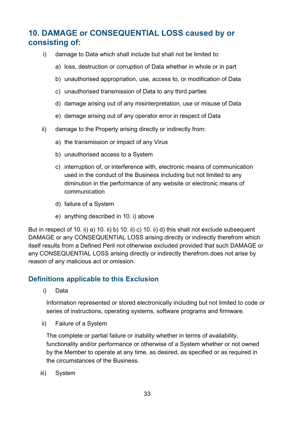## **10. DAMAGE or CONSEQUENTIAL LOSS caused by or consisting of:**

- i) damage to Data which shall include but shall not be limited to:
	- a) loss, destruction or corruption of Data whether in whole or in part
	- b) unauthorised appropriation, use, access to, or modification of Data
	- c) unauthorised transmission of Data to any third parties
	- d) damage arising out of any misinterpretation, use or misuse of Data
	- e) damage arising out of any operator error in respect of Data
- ii) damage to the Property arising directly or indirectly from:
	- a) the transmission or impact of any Virus
	- b) unauthorised access to a System
	- c) interruption of, or interference with, electronic means of communication used in the conduct of the Business including but not limited to any diminution in the performance of any website or electronic means of communication
	- d) failure of a System
	- e) anything described in 10. i) above

But in respect of 10. ii) a) 10. ii) b) 10. ii) c) 10. ii) d) this shall not exclude subsequent DAMAGE or any CONSEQUENTIAL LOSS arising directly or indirectly therefrom which itself results from a Defined Peril not otherwise excluded provided that such DAMAGE or any CONSEQUENTIAL LOSS arising directly or indirectly therefrom does not arise by reason of any malicious act or omission.

#### **Definitions applicable to this Exclusion**

i) Data

Information represented or stored electronically including but not limited to code or series of instructions, operating systems, software programs and firmware.

ii) Failure of a System

The complete or partial failure or inability whether in terms of availability, functionality and/or performance or otherwise of a System whether or not owned by the Member to operate at any time, as desired, as specified or as required in the circumstances of the Business.

iii) System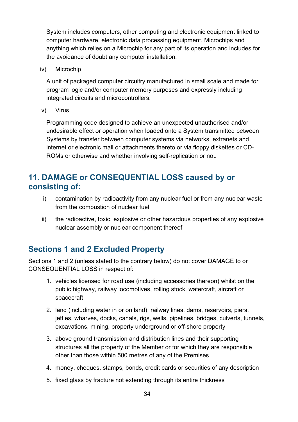System includes computers, other computing and electronic equipment linked to computer hardware, electronic data processing equipment, Microchips and anything which relies on a Microchip for any part of its operation and includes for the avoidance of doubt any computer installation.

iv) Microchip

A unit of packaged computer circuitry manufactured in small scale and made for program logic and/or computer memory purposes and expressly including integrated circuits and microcontrollers.

v) Virus

Programming code designed to achieve an unexpected unauthorised and/or undesirable effect or operation when loaded onto a System transmitted between Systems by transfer between computer systems via networks, extranets and internet or electronic mail or attachments thereto or via floppy diskettes or CD-ROMs or otherwise and whether involving self-replication or not.

## **11. DAMAGE or CONSEQUENTIAL LOSS caused by or consisting of:**

- i) contamination by radioactivity from any nuclear fuel or from any nuclear waste from the combustion of nuclear fuel
- ii) the radioactive, toxic, explosive or other hazardous properties of any explosive nuclear assembly or nuclear component thereof

## **Sections 1 and 2 Excluded Property**

Sections 1 and 2 (unless stated to the contrary below) do not cover DAMAGE to or CONSEQUENTIAL LOSS in respect of:

- 1. vehicles licensed for road use (including accessories thereon) whilst on the public highway, railway locomotives, rolling stock, watercraft, aircraft or spacecraft
- 2. land (including water in or on land), railway lines, dams, reservoirs, piers, jetties, wharves, docks, canals, rigs, wells, pipelines, bridges, culverts, tunnels, excavations, mining, property underground or off-shore property
- 3. above ground transmission and distribution lines and their supporting structures all the property of the Member or for which they are responsible other than those within 500 metres of any of the Premises
- 4. money, cheques, stamps, bonds, credit cards or securities of any description
- 5. fixed glass by fracture not extending through its entire thickness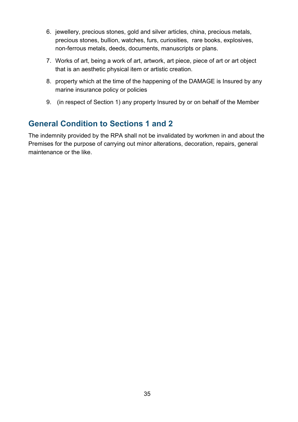- 6. jewellery, precious stones, gold and silver articles, china, precious metals, precious stones, bullion, watches, furs, curiosities, rare books, explosives, non-ferrous metals, deeds, documents, manuscripts or plans.
- 7. Works of art, being a work of art, artwork, art piece, piece of art or art object that is an aesthetic physical item or artistic creation.
- 8. property which at the time of the happening of the DAMAGE is Insured by any marine insurance policy or policies
- 9. (in respect of Section 1) any property Insured by or on behalf of the Member

## **General Condition to Sections 1 and 2**

The indemnity provided by the RPA shall not be invalidated by workmen in and about the Premises for the purpose of carrying out minor alterations, decoration, repairs, general maintenance or the like.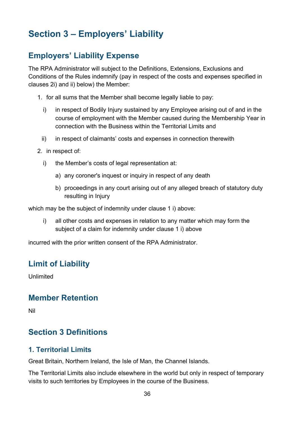# <span id="page-35-0"></span>**Section 3 – Employers' Liability**

## **Employers' Liability Expense**

The RPA Administrator will subject to the Definitions, Extensions, Exclusions and Conditions of the Rules indemnify (pay in respect of the costs and expenses specified in clauses 2i) and ii) below) the Member:

- 1. for all sums that the Member shall become legally liable to pay:
	- i) in respect of Bodily Injury sustained by any Employee arising out of and in the course of employment with the Member caused during the Membership Year in connection with the Business within the Territorial Limits and
	- ii) in respect of claimants' costs and expenses in connection therewith
- 2. in respect of:
	- i) the Member's costs of legal representation at:
		- a) any coroner's inquest or inquiry in respect of any death
		- b) proceedings in any court arising out of any alleged breach of statutory duty resulting in Injury

which may be the subject of indemnity under clause 1 i) above:

i) all other costs and expenses in relation to any matter which may form the subject of a claim for indemnity under clause 1 i) above

incurred with the prior written consent of the RPA Administrator.

#### **Limit of Liability**

Unlimited

#### **Member Retention**

Nil

#### **Section 3 Definitions**

#### **1. Territorial Limits**

Great Britain, Northern Ireland, the Isle of Man, the Channel Islands.

The Territorial Limits also include elsewhere in the world but only in respect of temporary visits to such territories by Employees in the course of the Business.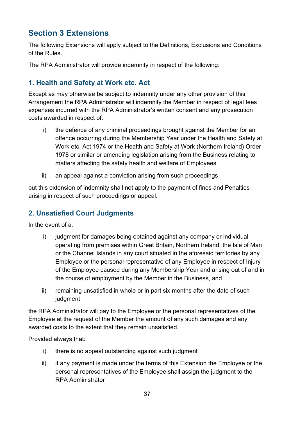# **Section 3 Extensions**

The following Extensions will apply subject to the Definitions, Exclusions and Conditions of the Rules.

The RPA Administrator will provide indemnity in respect of the following:

## **1. Health and Safety at Work etc. Act**

Except as may otherwise be subject to indemnity under any other provision of this Arrangement the RPA Administrator will indemnify the Member in respect of legal fees expenses incurred with the RPA Administrator's written consent and any prosecution costs awarded in respect of:

- i) the defence of any criminal proceedings brought against the Member for an offence occurring during the Membership Year under the Health and Safety at Work etc. Act 1974 or the Health and Safety at Work (Northern Ireland) Order 1978 or similar or amending legislation arising from the Business relating to matters affecting the safety health and welfare of Employees
- ii) an appeal against a conviction arising from such proceedings

but this extension of indemnity shall not apply to the payment of fines and Penalties arising in respect of such proceedings or appeal.

# **2. Unsatisfied Court Judgments**

In the event of a:

- i) judgment for damages being obtained against any company or individual operating from premises within Great Britain, Northern Ireland, the Isle of Man or the Channel Islands in any court situated in the aforesaid territories by any Employee or the personal representative of any Employee in respect of Injury of the Employee caused during any Membership Year and arising out of and in the course of employment by the Member in the Business, and
- ii) remaining unsatisfied in whole or in part six months after the date of such judgment

the RPA Administrator will pay to the Employee or the personal representatives of the Employee at the request of the Member the amount of any such damages and any awarded costs to the extent that they remain unsatisfied.

Provided always that:

- i) there is no appeal outstanding against such judgment
- ii) if any payment is made under the terms of this Extension the Employee or the personal representatives of the Employee shall assign the judgment to the RPA Administrator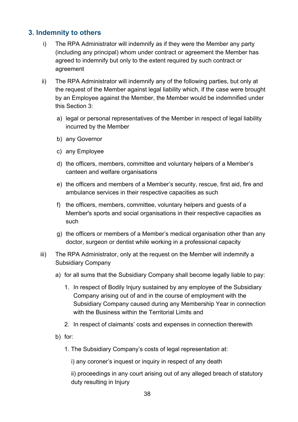## **3. Indemnity to others**

- i) The RPA Administrator will indemnify as if they were the Member any party (including any principal) whom under contract or agreement the Member has agreed to indemnify but only to the extent required by such contract or agreement
- ii) The RPA Administrator will indemnify any of the following parties, but only at the request of the Member against legal liability which, if the case were brought by an Employee against the Member, the Member would be indemnified under this Section 3:
	- a) legal or personal representatives of the Member in respect of legal liability incurred by the Member
	- b) any Governor
	- c) any Employee
	- d) the officers, members, committee and voluntary helpers of a Member's canteen and welfare organisations
	- e) the officers and members of a Member's security, rescue, first aid, fire and ambulance services in their respective capacities as such
	- f) the officers, members, committee, voluntary helpers and guests of a Member's sports and social organisations in their respective capacities as such
	- g) the officers or members of a Member's medical organisation other than any doctor, surgeon or dentist while working in a professional capacity
- iii) The RPA Administrator, only at the request on the Member will indemnify a Subsidiary Company
	- a) for all sums that the Subsidiary Company shall become legally liable to pay:
		- 1. In respect of Bodily Injury sustained by any employee of the Subsidiary Company arising out of and in the course of employment with the Subsidiary Company caused during any Membership Year in connection with the Business within the Territorial Limits and
		- 2. In respect of claimants' costs and expenses in connection therewith
	- b) for:
		- 1. The Subsidiary Company's costs of legal representation at:

i) any coroner's inquest or inquiry in respect of any death

ii) proceedings in any court arising out of any alleged breach of statutory duty resulting in Injury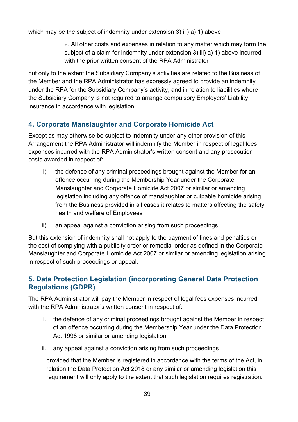which may be the subject of indemnity under extension 3) iii) a) 1) above

2. All other costs and expenses in relation to any matter which may form the subject of a claim for indemnity under extension 3) iii) a) 1) above incurred with the prior written consent of the RPA Administrator

but only to the extent the Subsidiary Company's activities are related to the Business of the Member and the RPA Administrator has expressly agreed to provide an indemnity under the RPA for the Subsidiary Company's activity, and in relation to liabilities where the Subsidiary Company is not required to arrange compulsory Employers' Liability insurance in accordance with legislation.

# **4. Corporate Manslaughter and Corporate Homicide Act**

Except as may otherwise be subject to indemnity under any other provision of this Arrangement the RPA Administrator will indemnify the Member in respect of legal fees expenses incurred with the RPA Administrator's written consent and any prosecution costs awarded in respect of:

- i) the defence of any criminal proceedings brought against the Member for an offence occurring during the Membership Year under the Corporate Manslaughter and Corporate Homicide Act 2007 or similar or amending legislation including any offence of manslaughter or culpable homicide arising from the Business provided in all cases it relates to matters affecting the safety health and welfare of Employees
- ii) an appeal against a conviction arising from such proceedings

But this extension of indemnity shall not apply to the payment of fines and penalties or the cost of complying with a publicity order or remedial order as defined in the Corporate Manslaughter and Corporate Homicide Act 2007 or similar or amending legislation arising in respect of such proceedings or appeal.

## **5. Data Protection Legislation (incorporating General Data Protection Regulations (GDPR)**

The RPA Administrator will pay the Member in respect of legal fees expenses incurred with the RPA Administrator's written consent in respect of:

- i. the defence of any criminal proceedings brought against the Member in respect of an offence occurring during the Membership Year under the Data Protection Act 1998 or similar or amending legislation
- ii. any appeal against a conviction arising from such proceedings

provided that the Member is registered in accordance with the terms of the Act, in relation the Data Protection Act 2018 or any similar or amending legislation this requirement will only apply to the extent that such legislation requires registration.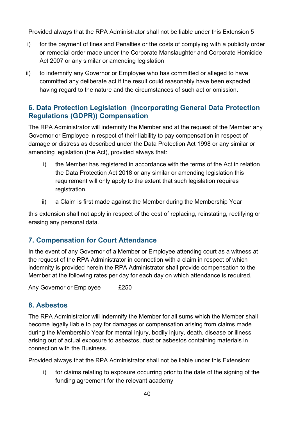Provided always that the RPA Administrator shall not be liable under this Extension 5

- i) for the payment of fines and Penalties or the costs of complying with a publicity order or remedial order made under the Corporate Manslaughter and Corporate Homicide Act 2007 or any similar or amending legislation
- ii) to indemnify any Governor or Employee who has committed or alleged to have committed any deliberate act if the result could reasonably have been expected having regard to the nature and the circumstances of such act or omission.

## **6. Data Protection Legislation (incorporating General Data Protection Regulations (GDPR)) Compensation**

The RPA Administrator will indemnify the Member and at the request of the Member any Governor or Employee in respect of their liability to pay compensation in respect of damage or distress as described under the Data Protection Act 1998 or any similar or amending legislation (the Act), provided always that:

- i) the Member has registered in accordance with the terms of the Act in relation the Data Protection Act 2018 or any similar or amending legislation this requirement will only apply to the extent that such legislation requires registration.
- ii) a Claim is first made against the Member during the Membership Year

this extension shall not apply in respect of the cost of replacing, reinstating, rectifying or erasing any personal data.

# **7. Compensation for Court Attendance**

In the event of any Governor of a Member or Employee attending court as a witness at the request of the RPA Administrator in connection with a claim in respect of which indemnity is provided herein the RPA Administrator shall provide compensation to the Member at the following rates per day for each day on which attendance is required.

Any Governor or Employee £250

# **8. Asbestos**

The RPA Administrator will indemnify the Member for all sums which the Member shall become legally liable to pay for damages or compensation arising from claims made during the Membership Year for mental injury, bodily injury, death, disease or illness arising out of actual exposure to asbestos, dust or asbestos containing materials in connection with the Business.

Provided always that the RPA Administrator shall not be liable under this Extension:

i) for claims relating to exposure occurring prior to the date of the signing of the funding agreement for the relevant academy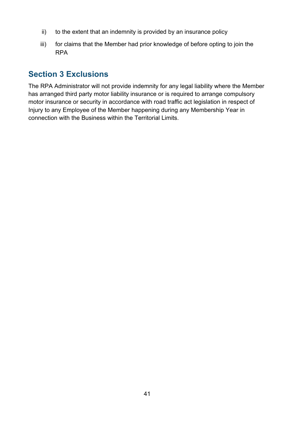- ii) to the extent that an indemnity is provided by an insurance policy
- iii) for claims that the Member had prior knowledge of before opting to join the RPA

# **Section 3 Exclusions**

The RPA Administrator will not provide indemnity for any legal liability where the Member has arranged third party motor liability insurance or is required to arrange compulsory motor insurance or security in accordance with road traffic act legislation in respect of Injury to any Employee of the Member happening during any Membership Year in connection with the Business within the Territorial Limits.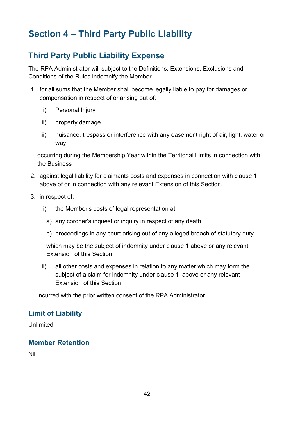# **Section 4 – Third Party Public Liability**

# **Third Party Public Liability Expense**

The RPA Administrator will subject to the Definitions, Extensions, Exclusions and Conditions of the Rules indemnify the Member

- 1. for all sums that the Member shall become legally liable to pay for damages or compensation in respect of or arising out of:
	- i) Personal Injury
	- ii) property damage
	- iii) nuisance, trespass or interference with any easement right of air, light, water or way

occurring during the Membership Year within the Territorial Limits in connection with the Business

- 2. against legal liability for claimants costs and expenses in connection with clause 1 above of or in connection with any relevant Extension of this Section.
- 3. in respect of:
	- i) the Member's costs of legal representation at:
		- a) any coroner's inquest or inquiry in respect of any death
		- b) proceedings in any court arising out of any alleged breach of statutory duty

which may be the subject of indemnity under clause 1 above or any relevant Extension of this Section

ii) all other costs and expenses in relation to any matter which may form the subject of a claim for indemnity under clause 1 above or any relevant Extension of this Section

incurred with the prior written consent of the RPA Administrator

#### **Limit of Liability**

Unlimited

## **Member Retention**

Nil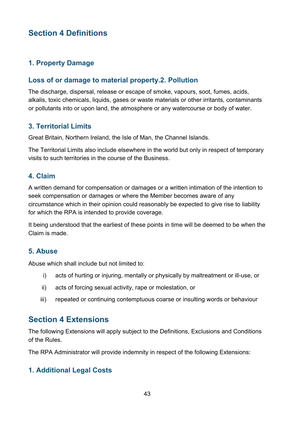# **Section 4 Definitions**

## **1. Property Damage**

#### **Loss of or damage to material property.2. Pollution**

The discharge, dispersal, release or escape of smoke, vapours, soot, fumes, acids, alkalis, toxic chemicals, liquids, gases or waste materials or other irritants, contaminants or pollutants into or upon land, the atmosphere or any watercourse or body of water.

## **3. Territorial Limits**

Great Britain, Northern Ireland, the Isle of Man, the Channel Islands.

The Territorial Limits also include elsewhere in the world but only in respect of temporary visits to such territories in the course of the Business.

#### **4. Claim**

A written demand for compensation or damages or a written intimation of the intention to seek compensation or damages or where the Member becomes aware of any circumstance which in their opinion could reasonably be expected to give rise to liability for which the RPA is intended to provide coverage.

It being understood that the earliest of these points in time will be deemed to be when the Claim is made.

#### **5. Abuse**

Abuse which shall include but not limited to:

- i) acts of hurting or injuring, mentally or physically by maltreatment or ill-use, or
- ii) acts of forcing sexual activity, rape or molestation, or
- iii) repeated or continuing contemptuous coarse or insulting words or behaviour

## **Section 4 Extensions**

The following Extensions will apply subject to the Definitions, Exclusions and Conditions of the Rules.

The RPA Administrator will provide indemnity in respect of the following Extensions:

## **1. Additional Legal Costs**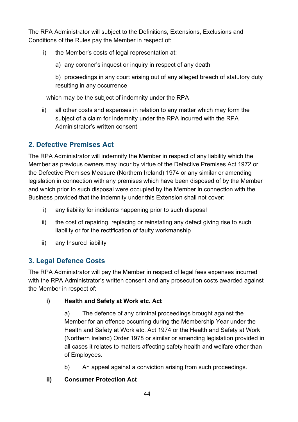The RPA Administrator will subject to the Definitions, Extensions, Exclusions and Conditions of the Rules pay the Member in respect of:

- i) the Member's costs of legal representation at:
	- a) any coroner's inquest or inquiry in respect of any death
	- b) proceedings in any court arising out of any alleged breach of statutory duty resulting in any occurrence

which may be the subject of indemnity under the RPA

ii) all other costs and expenses in relation to any matter which may form the subject of a claim for indemnity under the RPA incurred with the RPA Administrator's written consent

# **2. Defective Premises Act**

The RPA Administrator will indemnify the Member in respect of any liability which the Member as previous owners may incur by virtue of the Defective Premises Act 1972 or the Defective Premises Measure (Northern Ireland) 1974 or any similar or amending legislation in connection with any premises which have been disposed of by the Member and which prior to such disposal were occupied by the Member in connection with the Business provided that the indemnity under this Extension shall not cover:

- i) any liability for incidents happening prior to such disposal
- ii) the cost of repairing, replacing or reinstating any defect giving rise to such liability or for the rectification of faulty workmanship
- iii) any Insured liability

## **3. Legal Defence Costs**

The RPA Administrator will pay the Member in respect of legal fees expenses incurred with the RPA Administrator's written consent and any prosecution costs awarded against the Member in respect of:

## **i) Health and Safety at Work etc. Act**

a) The defence of any criminal proceedings brought against the Member for an offence occurring during the Membership Year under the Health and Safety at Work etc. Act 1974 or the Health and Safety at Work (Northern Ireland) Order 1978 or similar or amending legislation provided in all cases it relates to matters affecting safety health and welfare other than of Employees.

b) An appeal against a conviction arising from such proceedings.

## **ii) Consumer Protection Act**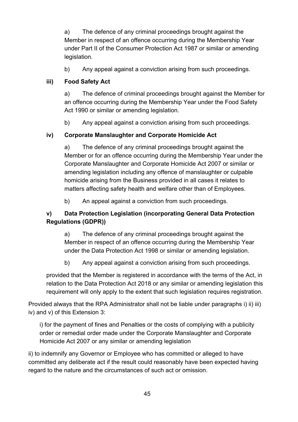a) The defence of any criminal proceedings brought against the Member in respect of an offence occurring during the Membership Year under Part II of the Consumer Protection Act 1987 or similar or amending legislation.

b) Any appeal against a conviction arising from such proceedings.

#### **iii) Food Safety Act**

a) The defence of criminal proceedings brought against the Member for an offence occurring during the Membership Year under the Food Safety Act 1990 or similar or amending legislation.

b) Any appeal against a conviction arising from such proceedings.

#### **iv) Corporate Manslaughter and Corporate Homicide Act**

a) The defence of any criminal proceedings brought against the Member or for an offence occurring during the Membership Year under the Corporate Manslaughter and Corporate Homicide Act 2007 or similar or amending legislation including any offence of manslaughter or culpable homicide arising from the Business provided in all cases it relates to matters affecting safety health and welfare other than of Employees.

b) An appeal against a conviction from such proceedings.

#### **v) Data Protection Legislation (incorporating General Data Protection Regulations (GDPR))**

a) The defence of any criminal proceedings brought against the Member in respect of an offence occurring during the Membership Year under the Data Protection Act 1998 or similar or amending legislation.

b) Any appeal against a conviction arising from such proceedings.

provided that the Member is registered in accordance with the terms of the Act, in relation to the Data Protection Act 2018 or any similar or amending legislation this requirement will only apply to the extent that such legislation requires registration.

Provided always that the RPA Administrator shall not be liable under paragraphs i) ii) iii) iv) and v) of this Extension 3:

i) for the payment of fines and Penalties or the costs of complying with a publicity order or remedial order made under the Corporate Manslaughter and Corporate Homicide Act 2007 or any similar or amending legislation

ii) to indemnify any Governor or Employee who has committed or alleged to have committed any deliberate act if the result could reasonably have been expected having regard to the nature and the circumstances of such act or omission.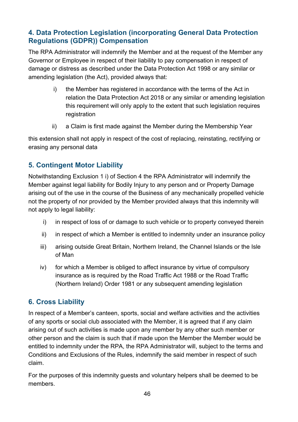## **4. Data Protection Legislation (incorporating General Data Protection Regulations (GDPR)) Compensation**

The RPA Administrator will indemnify the Member and at the request of the Member any Governor or Employee in respect of their liability to pay compensation in respect of damage or distress as described under the Data Protection Act 1998 or any similar or amending legislation (the Act), provided always that:

- i) the Member has registered in accordance with the terms of the Act in relation the Data Protection Act 2018 or any similar or amending legislation this requirement will only apply to the extent that such legislation requires registration
- ii) a Claim is first made against the Member during the Membership Year

this extension shall not apply in respect of the cost of replacing, reinstating, rectifying or erasing any personal data

## **5. Contingent Motor Liability**

Notwithstanding Exclusion 1 i) of Section 4 the RPA Administrator will indemnify the Member against legal liability for Bodily Injury to any person and or Property Damage arising out of the use in the course of the Business of any mechanically propelled vehicle not the property of nor provided by the Member provided always that this indemnity will not apply to legal liability:

- i) in respect of loss of or damage to such vehicle or to property conveyed therein
- ii) in respect of which a Member is entitled to indemnity under an insurance policy
- iii) arising outside Great Britain, Northern Ireland, the Channel Islands or the Isle of Man
- iv) for which a Member is obliged to affect insurance by virtue of compulsory insurance as is required by the Road Traffic Act 1988 or the Road Traffic (Northern Ireland) Order 1981 or any subsequent amending legislation

## **6. Cross Liability**

In respect of a Member's canteen, sports, social and welfare activities and the activities of any sports or social club associated with the Member, it is agreed that if any claim arising out of such activities is made upon any member by any other such member or other person and the claim is such that if made upon the Member the Member would be entitled to indemnity under the RPA, the RPA Administrator will, subject to the terms and Conditions and Exclusions of the Rules, indemnify the said member in respect of such claim.

For the purposes of this indemnity guests and voluntary helpers shall be deemed to be members.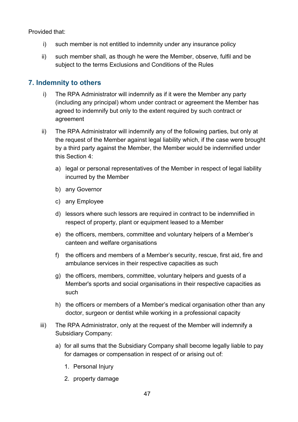Provided that:

- i) such member is not entitled to indemnity under any insurance policy
- ii) such member shall, as though he were the Member, observe, fulfil and be subject to the terms Exclusions and Conditions of the Rules

#### **7. Indemnity to others**

- i) The RPA Administrator will indemnify as if it were the Member any party (including any principal) whom under contract or agreement the Member has agreed to indemnify but only to the extent required by such contract or agreement
- ii) The RPA Administrator will indemnify any of the following parties, but only at the request of the Member against legal liability which, if the case were brought by a third party against the Member, the Member would be indemnified under this Section 4:
	- a) legal or personal representatives of the Member in respect of legal liability incurred by the Member
	- b) any Governor
	- c) any Employee
	- d) lessors where such lessors are required in contract to be indemnified in respect of property, plant or equipment leased to a Member
	- e) the officers, members, committee and voluntary helpers of a Member's canteen and welfare organisations
	- f) the officers and members of a Member's security, rescue, first aid, fire and ambulance services in their respective capacities as such
	- g) the officers, members, committee, voluntary helpers and guests of a Member's sports and social organisations in their respective capacities as such
	- h) the officers or members of a Member's medical organisation other than any doctor, surgeon or dentist while working in a professional capacity
- iii) The RPA Administrator, only at the request of the Member will indemnify a Subsidiary Company:
	- a) for all sums that the Subsidiary Company shall become legally liable to pay for damages or compensation in respect of or arising out of:
		- 1. Personal Injury
		- 2. property damage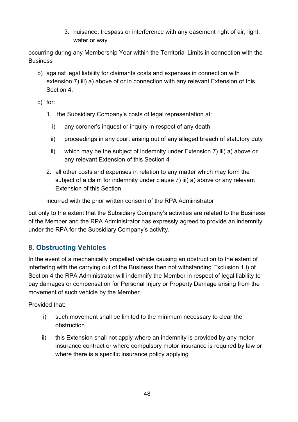3. nuisance, trespass or interference with any easement right of air, light, water or way

occurring during any Membership Year within the Territorial Limits in connection with the Business

- b) against legal liability for claimants costs and expenses in connection with extension 7) iii) a) above of or in connection with any relevant Extension of this Section 4.
- c) for:
	- 1. the Subsidiary Company's costs of legal representation at:
		- i) any coroner's inquest or inquiry in respect of any death
		- ii) proceedings in any court arising out of any alleged breach of statutory duty
	- iii) which may be the subject of indemnity under Extension 7) iii) a) above or any relevant Extension of this Section 4
	- 2. all other costs and expenses in relation to any matter which may form the subject of a claim for indemnity under clause 7) iii) a) above or any relevant Extension of this Section

incurred with the prior written consent of the RPA Administrator

but only to the extent that the Subsidiary Company's activities are related to the Business of the Member and the RPA Administrator has expressly agreed to provide an indemnity under the RPA for the Subsidiary Company's activity.

## **8. Obstructing Vehicles**

In the event of a mechanically propelled vehicle causing an obstruction to the extent of interfering with the carrying out of the Business then not withstanding Exclusion 1 i) of Section 4 the RPA Administrator will indemnify the Member in respect of legal liability to pay damages or compensation for Personal Injury or Property Damage arising from the movement of such vehicle by the Member.

Provided that:

- i) such movement shall be limited to the minimum necessary to clear the obstruction
- ii) this Extension shall not apply where an indemnity is provided by any motor insurance contract or where compulsory motor insurance is required by law or where there is a specific insurance policy applying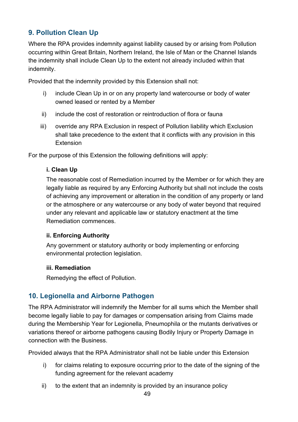# **9. Pollution Clean Up**

Where the RPA provides indemnity against liability caused by or arising from Pollution occurring within Great Britain, Northern Ireland, the Isle of Man or the Channel Islands the indemnity shall include Clean Up to the extent not already included within that indemnity.

Provided that the indemnity provided by this Extension shall not:

- i) include Clean Up in or on any property land watercourse or body of water owned leased or rented by a Member
- ii) include the cost of restoration or reintroduction of flora or fauna
- iii) override any RPA Exclusion in respect of Pollution liability which Exclusion shall take precedence to the extent that it conflicts with any provision in this **Extension**

For the purpose of this Extension the following definitions will apply:

#### **i. Clean Up**

The reasonable cost of Remediation incurred by the Member or for which they are legally liable as required by any Enforcing Authority but shall not include the costs of achieving any improvement or alteration in the condition of any property or land or the atmosphere or any watercourse or any body of water beyond that required under any relevant and applicable law or statutory enactment at the time Remediation commences.

#### **ii. Enforcing Authority**

Any government or statutory authority or body implementing or enforcing environmental protection legislation.

#### **iii. Remediation**

Remedying the effect of Pollution.

## **10. Legionella and Airborne Pathogen**

The RPA Administrator will indemnify the Member for all sums which the Member shall become legally liable to pay for damages or compensation arising from Claims made during the Membership Year for Legionella, Pneumophila or the mutants derivatives or variations thereof or airborne pathogens causing Bodily Injury or Property Damage in connection with the Business.

Provided always that the RPA Administrator shall not be liable under this Extension

- i) for claims relating to exposure occurring prior to the date of the signing of the funding agreement for the relevant academy
- ii) to the extent that an indemnity is provided by an insurance policy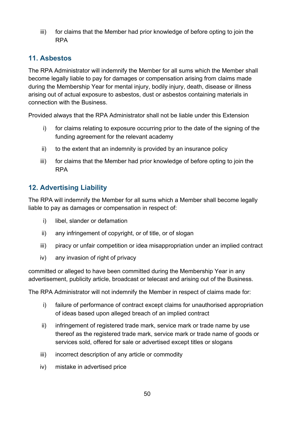iii) for claims that the Member had prior knowledge of before opting to join the RPA

## **11. Asbestos**

The RPA Administrator will indemnify the Member for all sums which the Member shall become legally liable to pay for damages or compensation arising from claims made during the Membership Year for mental injury, bodily injury, death, disease or illness arising out of actual exposure to asbestos, dust or asbestos containing materials in connection with the Business.

Provided always that the RPA Administrator shall not be liable under this Extension

- i) for claims relating to exposure occurring prior to the date of the signing of the funding agreement for the relevant academy
- ii) to the extent that an indemnity is provided by an insurance policy
- iii) for claims that the Member had prior knowledge of before opting to join the RPA

## **12. Advertising Liability**

The RPA will indemnify the Member for all sums which a Member shall become legally liable to pay as damages or compensation in respect of:

- i) libel, slander or defamation
- ii) any infringement of copyright, or of title, or of slogan
- iii) piracy or unfair competition or idea misappropriation under an implied contract
- iv) any invasion of right of privacy

committed or alleged to have been committed during the Membership Year in any advertisement, publicity article, broadcast or telecast and arising out of the Business.

The RPA Administrator will not indemnify the Member in respect of claims made for:

- i) failure of performance of contract except claims for unauthorised appropriation of ideas based upon alleged breach of an implied contract
- ii) infringement of registered trade mark, service mark or trade name by use thereof as the registered trade mark, service mark or trade name of goods or services sold, offered for sale or advertised except titles or slogans
- iii) incorrect description of any article or commodity
- iv) mistake in advertised price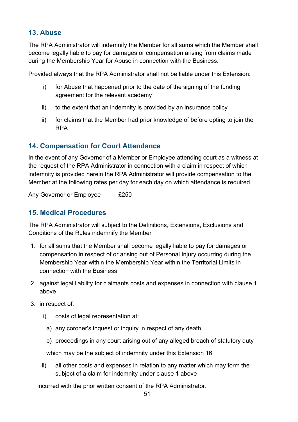## **13. Abuse**

The RPA Administrator will indemnify the Member for all sums which the Member shall become legally liable to pay for damages or compensation arising from claims made during the Membership Year for Abuse in connection with the Business.

Provided always that the RPA Administrator shall not be liable under this Extension:

- i) for Abuse that happened prior to the date of the signing of the funding agreement for the relevant academy
- ii) to the extent that an indemnity is provided by an insurance policy
- iii) for claims that the Member had prior knowledge of before opting to join the RPA

## **14. Compensation for Court Attendance**

In the event of any Governor of a Member or Employee attending court as a witness at the request of the RPA Administrator in connection with a claim in respect of which indemnity is provided herein the RPA Administrator will provide compensation to the Member at the following rates per day for each day on which attendance is required.

Any Governor or Employee £250

## **15. Medical Procedures**

The RPA Administrator will subject to the Definitions, Extensions, Exclusions and Conditions of the Rules indemnify the Member

- 1. for all sums that the Member shall become legally liable to pay for damages or compensation in respect of or arising out of Personal Injury occurring during the Membership Year within the Membership Year within the Territorial Limits in connection with the Business
- 2. against legal liability for claimants costs and expenses in connection with clause 1 above
- 3. in respect of:
	- i) costs of legal representation at:
	- a) any coroner's inquest or inquiry in respect of any death
	- b) proceedings in any court arising out of any alleged breach of statutory duty

which may be the subject of indemnity under this Extension 16

ii) all other costs and expenses in relation to any matter which may form the subject of a claim for indemnity under clause 1 above

incurred with the prior written consent of the RPA Administrator.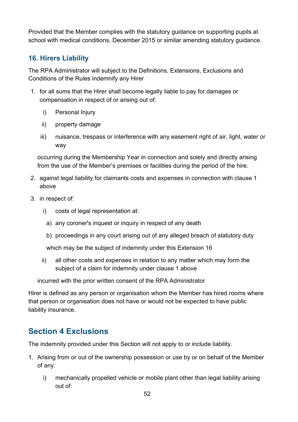Provided that the Member complies with the statutory guidance on supporting pupils at school with medical conditions, December 2015 or similar amending statutory guidance.

## **16. Hirers Liability**

The RPA Administrator will subject to the Definitions, Extensions, Exclusions and Conditions of the Rules indemnify any Hirer

- 1. for all sums that the Hirer shall become legally liable to pay for damages or compensation in respect of or arising out of:
	- i) Personal Injury
	- ii) property damage
	- iii) nuisance, trespass or interference with any easement right of air, light, water or way

occurring during the Membership Year in connection and solely and directly arising from the use of the Member's premises or facilities during the period of the hire.

- 2. against legal liability for claimants costs and expenses in connection with clause 1 above
- 3. in respect of:
	- i) costs of legal representation at:
		- a) any coroner's inquest or inquiry in respect of any death
		- b) proceedings in any court arising out of any alleged breach of statutory duty

which may be the subject of indemnity under this Extension 16

ii) all other costs and expenses in relation to any matter which may form the subject of a claim for indemnity under clause 1 above

incurred with the prior written consent of the RPA Administrator

Hirer is defined as any person or organisation whom the Member has hired rooms where that person or organisation does not have or would not be expected to have public liability insurance.

# **Section 4 Exclusions**

The indemnity provided under this Section will not apply to or include liability.

- 1. Arising from or out of the ownership possession or use by or on behalf of the Member of any:
	- i) mechanically propelled vehicle or mobile plant other than legal liability arising out of: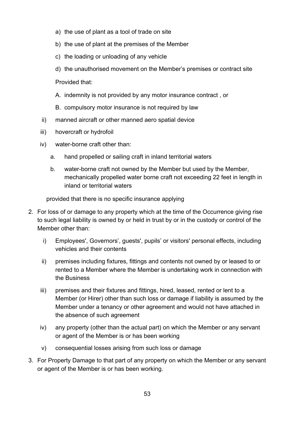- a) the use of plant as a tool of trade on site
- b) the use of plant at the premises of the Member
- c) the loading or unloading of any vehicle
- d) the unauthorised movement on the Member's premises or contract site

Provided that:

- A. indemnity is not provided by any motor insurance contract , or
- B. compulsory motor insurance is not required by law
- ii) manned aircraft or other manned aero spatial device
- iii) hovercraft or hydrofoil
- iv) water-borne craft other than:
	- a. hand propelled or sailing craft in inland territorial waters
	- b. water-borne craft not owned by the Member but used by the Member, mechanically propelled water borne craft not exceeding 22 feet in length in inland or territorial waters

provided that there is no specific insurance applying

- 2. For loss of or damage to any property which at the time of the Occurrence giving rise to such legal liability is owned by or held in trust by or in the custody or control of the Member other than:
	- i) Employees', Governors', guests', pupils' or visitors' personal effects, including vehicles and their contents
	- ii) premises including fixtures, fittings and contents not owned by or leased to or rented to a Member where the Member is undertaking work in connection with the Business
	- iii) premises and their fixtures and fittings, hired, leased, rented or lent to a Member (or Hirer) other than such loss or damage if liability is assumed by the Member under a tenancy or other agreement and would not have attached in the absence of such agreement
	- iv) any property (other than the actual part) on which the Member or any servant or agent of the Member is or has been working
	- v) consequential losses arising from such loss or damage
- 3. For Property Damage to that part of any property on which the Member or any servant or agent of the Member is or has been working.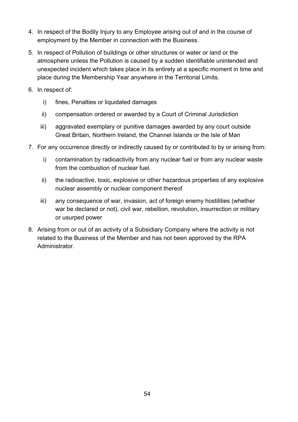- 4. In respect of the Bodily Injury to any Employee arising out of and in the course of employment by the Member in connection with the Business.
- 5. In respect of Pollution of buildings or other structures or water or land or the atmosphere unless the Pollution is caused by a sudden identifiable unintended and unexpected incident which takes place in its entirety at a specific moment in time and place during the Membership Year anywhere in the Territorial Limits.
- 6. In respect of:
	- i) fines, Penalties or liquidated damages
	- ii) compensation ordered or awarded by a Court of Criminal Jurisdiction
	- iii) aggravated exemplary or punitive damages awarded by any court outside Great Britain, Northern Ireland, the Channel Islands or the Isle of Man
- 7. For any occurrence directly or indirectly caused by or contributed to by or arising from:
	- i) contamination by radioactivity from any nuclear fuel or from any nuclear waste from the combustion of nuclear fuel.
	- ii) the radioactive, toxic, explosive or other hazardous properties of any explosive nuclear assembly or nuclear component thereof
	- iii) any consequence of war, invasion, act of foreign enemy hostilities (whether war be declared or not), civil war, rebellion, revolution, insurrection or military or usurped power
- 8. Arising from or out of an activity of a Subsidiary Company where the activity is not related to the Business of the Member and has not been approved by the RPA **Administrator**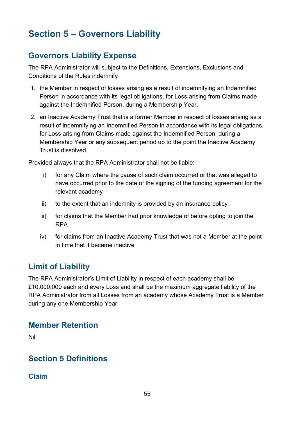# **Section 5 – Governors Liability**

# **Governors Liability Expense**

The RPA Administrator will subject to the Definitions, Extensions, Exclusions and Conditions of the Rules indemnify

- 1. the Member in respect of losses arising as a result of indemnifying an Indemnified Person in accordance with its legal obligations, for Loss arising from Claims made against the Indemnified Person, during a Membership Year.
- 2. an Inactive Academy Trust that is a former Member in respect of losses arising as a result of indemnifying an Indemnified Person in accordance with its legal obligations, for Loss arising from Claims made against the Indemnified Person, during a Membership Year or any subsequent period up to the point the Inactive Academy Trust is dissolved.

Provided always that the RPA Administrator shall not be liable:

- i) for any Claim where the cause of such claim occurred or that was alleged to have occurred prior to the date of the signing of the funding agreement for the relevant academy
- ii) to the extent that an indemnity is provided by an insurance policy
- iii) for claims that the Member had prior knowledge of before opting to join the RPA
- iv) for claims from an Inactive Academy Trust that was not a Member at the point in time that it became inactive

# **Limit of Liability**

The RPA Administrator's Limit of Liability in respect of each academy shall be £10,000,000 each and every Loss and shall be the maximum aggregate liability of the RPA Administrator from all Losses from an academy whose Academy Trust is a Member during any one Membership Year.

# **Member Retention**

Nil

# **Section 5 Definitions**

**Claim**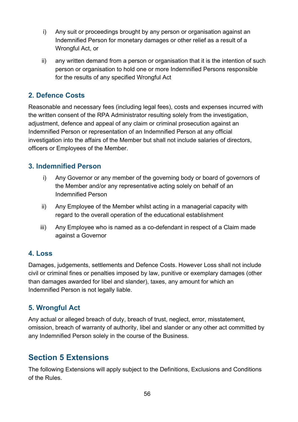- i) Any suit or proceedings brought by any person or organisation against an Indemnified Person for monetary damages or other relief as a result of a Wrongful Act, or
- ii) any written demand from a person or organisation that it is the intention of such person or organisation to hold one or more Indemnified Persons responsible for the results of any specified Wrongful Act

## **2. Defence Costs**

Reasonable and necessary fees (including legal fees), costs and expenses incurred with the written consent of the RPA Administrator resulting solely from the investigation, adjustment, defence and appeal of any claim or criminal prosecution against an Indemnified Person or representation of an Indemnified Person at any official investigation into the affairs of the Member but shall not include salaries of directors, officers or Employees of the Member.

#### **3. Indemnified Person**

- i) Any Governor or any member of the governing body or board of governors of the Member and/or any representative acting solely on behalf of an Indemnified Person
- ii) Any Employee of the Member whilst acting in a managerial capacity with regard to the overall operation of the educational establishment
- iii) Any Employee who is named as a co-defendant in respect of a Claim made against a Governor

## **4. Loss**

Damages, judgements, settlements and Defence Costs. However Loss shall not include civil or criminal fines or penalties imposed by law, punitive or exemplary damages (other than damages awarded for libel and slander), taxes, any amount for which an Indemnified Person is not legally liable.

## **5. Wrongful Act**

Any actual or alleged breach of duty, breach of trust, neglect, error, misstatement, omission, breach of warranty of authority, libel and slander or any other act committed by any Indemnified Person solely in the course of the Business.

# **Section 5 Extensions**

The following Extensions will apply subject to the Definitions, Exclusions and Conditions of the Rules.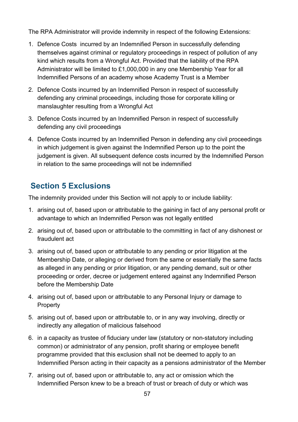The RPA Administrator will provide indemnity in respect of the following Extensions:

- 1. Defence Costs incurred by an Indemnified Person in successfully defending themselves against criminal or regulatory proceedings in respect of pollution of any kind which results from a Wrongful Act. Provided that the liability of the RPA Administrator will be limited to £1,000,000 in any one Membership Year for all Indemnified Persons of an academy whose Academy Trust is a Member
- 2. Defence Costs incurred by an Indemnified Person in respect of successfully defending any criminal proceedings, including those for corporate killing or manslaughter resulting from a Wrongful Act
- 3. Defence Costs incurred by an Indemnified Person in respect of successfully defending any civil proceedings
- 4. Defence Costs incurred by an Indemnified Person in defending any civil proceedings in which judgement is given against the Indemnified Person up to the point the judgement is given. All subsequent defence costs incurred by the Indemnified Person in relation to the same proceedings will not be indemnified

# **Section 5 Exclusions**

The indemnity provided under this Section will not apply to or include liability:

- 1. arising out of, based upon or attributable to the gaining in fact of any personal profit or advantage to which an Indemnified Person was not legally entitled
- 2. arising out of, based upon or attributable to the committing in fact of any dishonest or fraudulent act
- 3. arising out of, based upon or attributable to any pending or prior litigation at the Membership Date, or alleging or derived from the same or essentially the same facts as alleged in any pending or prior litigation, or any pending demand, suit or other proceeding or order, decree or judgement entered against any Indemnified Person before the Membership Date
- 4. arising out of, based upon or attributable to any Personal Injury or damage to **Property**
- 5. arising out of, based upon or attributable to, or in any way involving, directly or indirectly any allegation of malicious falsehood
- 6. in a capacity as trustee of fiduciary under law (statutory or non-statutory including common) or administrator of any pension, profit sharing or employee benefit programme provided that this exclusion shall not be deemed to apply to an Indemnified Person acting in their capacity as a pensions administrator of the Member
- 7. arising out of, based upon or attributable to, any act or omission which the Indemnified Person knew to be a breach of trust or breach of duty or which was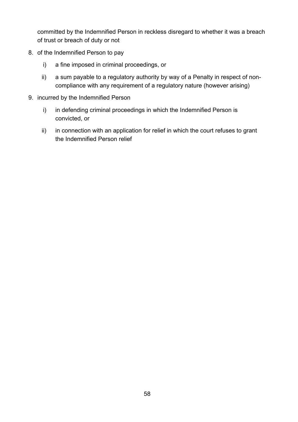committed by the Indemnified Person in reckless disregard to whether it was a breach of trust or breach of duty or not

- 8. of the Indemnified Person to pay
	- i) a fine imposed in criminal proceedings, or
	- ii) a sum payable to a regulatory authority by way of a Penalty in respect of noncompliance with any requirement of a regulatory nature (however arising)
- 9. incurred by the Indemnified Person
	- i) in defending criminal proceedings in which the Indemnified Person is convicted, or
	- ii) in connection with an application for relief in which the court refuses to grant the Indemnified Person relief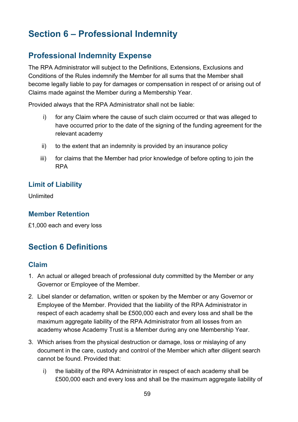# **Section 6 – Professional Indemnity**

# **Professional Indemnity Expense**

The RPA Administrator will subject to the Definitions, Extensions, Exclusions and Conditions of the Rules indemnify the Member for all sums that the Member shall become legally liable to pay for damages or compensation in respect of or arising out of Claims made against the Member during a Membership Year.

Provided always that the RPA Administrator shall not be liable:

- i) for any Claim where the cause of such claim occurred or that was alleged to have occurred prior to the date of the signing of the funding agreement for the relevant academy
- ii) to the extent that an indemnity is provided by an insurance policy
- iii) for claims that the Member had prior knowledge of before opting to join the RPA

## **Limit of Liability**

Unlimited

#### **Member Retention**

£1,000 each and every loss

# **Section 6 Definitions**

#### **Claim**

- 1. An actual or alleged breach of professional duty committed by the Member or any Governor or Employee of the Member.
- 2. Libel slander or defamation, written or spoken by the Member or any Governor or Employee of the Member. Provided that the liability of the RPA Administrator in respect of each academy shall be £500,000 each and every loss and shall be the maximum aggregate liability of the RPA Administrator from all losses from an academy whose Academy Trust is a Member during any one Membership Year.
- 3. Which arises from the physical destruction or damage, loss or mislaying of any document in the care, custody and control of the Member which after diligent search cannot be found. Provided that:
	- i) the liability of the RPA Administrator in respect of each academy shall be £500,000 each and every loss and shall be the maximum aggregate liability of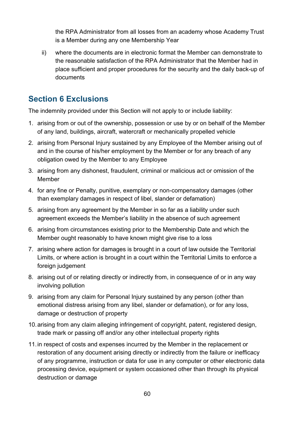the RPA Administrator from all losses from an academy whose Academy Trust is a Member during any one Membership Year

ii) where the documents are in electronic format the Member can demonstrate to the reasonable satisfaction of the RPA Administrator that the Member had in place sufficient and proper procedures for the security and the daily back-up of documents

# **Section 6 Exclusions**

The indemnity provided under this Section will not apply to or include liability:

- 1. arising from or out of the ownership, possession or use by or on behalf of the Member of any land, buildings, aircraft, watercraft or mechanically propelled vehicle
- 2. arising from Personal Injury sustained by any Employee of the Member arising out of and in the course of his/her employment by the Member or for any breach of any obligation owed by the Member to any Employee
- 3. arising from any dishonest, fraudulent, criminal or malicious act or omission of the Member
- 4. for any fine or Penalty, punitive, exemplary or non-compensatory damages (other than exemplary damages in respect of libel, slander or defamation)
- 5. arising from any agreement by the Member in so far as a liability under such agreement exceeds the Member's liability in the absence of such agreement
- 6. arising from circumstances existing prior to the Membership Date and which the Member ought reasonably to have known might give rise to a loss
- 7. arising where action for damages is brought in a court of law outside the Territorial Limits, or where action is brought in a court within the Territorial Limits to enforce a foreign judgement
- 8. arising out of or relating directly or indirectly from, in consequence of or in any way involving pollution
- 9. arising from any claim for Personal Injury sustained by any person (other than emotional distress arising from any libel, slander or defamation), or for any loss, damage or destruction of property
- 10.arising from any claim alleging infringement of copyright, patent, registered design, trade mark or passing off and/or any other intellectual property rights
- 11.in respect of costs and expenses incurred by the Member in the replacement or restoration of any document arising directly or indirectly from the failure or inefficacy of any programme, instruction or data for use in any computer or other electronic data processing device, equipment or system occasioned other than through its physical destruction or damage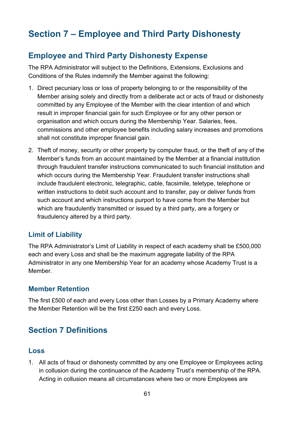# **Section 7 – Employee and Third Party Dishonesty**

# **Employee and Third Party Dishonesty Expense**

The RPA Administrator will subject to the Definitions, Extensions, Exclusions and Conditions of the Rules indemnify the Member against the following:

- 1. Direct pecuniary loss or loss of property belonging to or the responsibility of the Member arising solely and directly from a deliberate act or acts of fraud or dishonesty committed by any Employee of the Member with the clear intention of and which result in improper financial gain for such Employee or for any other person or organisation and which occurs during the Membership Year. Salaries, fees, commissions and other employee benefits including salary increases and promotions shall not constitute improper financial gain.
- 2. Theft of money, security or other property by computer fraud, or the theft of any of the Member's funds from an account maintained by the Member at a financial institution through fraudulent transfer instructions communicated to such financial institution and which occurs during the Membership Year. Fraudulent transfer instructions shall include fraudulent electronic, telegraphic, cable, facsimile, teletype, telephone or written instructions to debit such account and to transfer, pay or deliver funds from such account and which instructions purport to have come from the Member but which are fraudulently transmitted or issued by a third party, are a forgery or fraudulency altered by a third party.

#### **Limit of Liability**

The RPA Administrator's Limit of Liability in respect of each academy shall be £500,000 each and every Loss and shall be the maximum aggregate liability of the RPA Administrator in any one Membership Year for an academy whose Academy Trust is a Member.

#### **Member Retention**

The first £500 of each and every Loss other than Losses by a Primary Academy where the Member Retention will be the first £250 each and every Loss.

# **Section 7 Definitions**

#### **Loss**

1. All acts of fraud or dishonesty committed by any one Employee or Employees acting in collusion during the continuance of the Academy Trust's membership of the RPA. Acting in collusion means all circumstances where two or more Employees are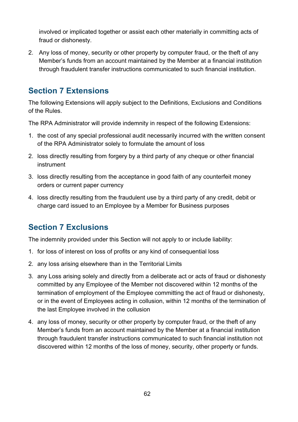involved or implicated together or assist each other materially in committing acts of fraud or dishonesty.

2. Any loss of money, security or other property by computer fraud, or the theft of any Member's funds from an account maintained by the Member at a financial institution through fraudulent transfer instructions communicated to such financial institution.

# **Section 7 Extensions**

The following Extensions will apply subject to the Definitions, Exclusions and Conditions of the Rules.

The RPA Administrator will provide indemnity in respect of the following Extensions:

- 1. the cost of any special professional audit necessarily incurred with the written consent of the RPA Administrator solely to formulate the amount of loss
- 2. loss directly resulting from forgery by a third party of any cheque or other financial instrument
- 3. loss directly resulting from the acceptance in good faith of any counterfeit money orders or current paper currency
- 4. loss directly resulting from the fraudulent use by a third party of any credit, debit or charge card issued to an Employee by a Member for Business purposes

# **Section 7 Exclusions**

The indemnity provided under this Section will not apply to or include liability:

- 1. for loss of interest on loss of profits or any kind of consequential loss
- 2. any loss arising elsewhere than in the Territorial Limits
- 3. any Loss arising solely and directly from a deliberate act or acts of fraud or dishonesty committed by any Employee of the Member not discovered within 12 months of the termination of employment of the Employee committing the act of fraud or dishonesty, or in the event of Employees acting in collusion, within 12 months of the termination of the last Employee involved in the collusion
- 4. any loss of money, security or other property by computer fraud, or the theft of any Member's funds from an account maintained by the Member at a financial institution through fraudulent transfer instructions communicated to such financial institution not discovered within 12 months of the loss of money, security, other property or funds.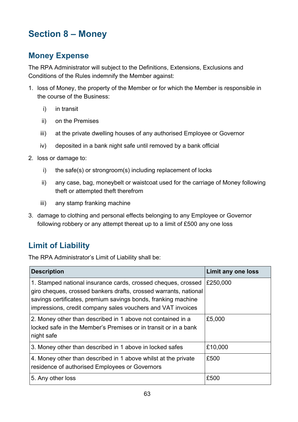# **Section 8 – Money**

# **Money Expense**

The RPA Administrator will subject to the Definitions, Extensions, Exclusions and Conditions of the Rules indemnify the Member against:

- 1. loss of Money, the property of the Member or for which the Member is responsible in the course of the Business:
	- i) in transit
	- ii) on the Premises
	- iii) at the private dwelling houses of any authorised Employee or Governor
	- iv) deposited in a bank night safe until removed by a bank official
- 2. loss or damage to:
	- i) the safe(s) or strongroom(s) including replacement of locks
	- ii) any case, bag, moneybelt or waistcoat used for the carriage of Money following theft or attempted theft therefrom
	- iii) any stamp franking machine
- 3. damage to clothing and personal effects belonging to any Employee or Governor following robbery or any attempt thereat up to a limit of £500 any one loss

# **Limit of Liability**

The RPA Administrator's Limit of Liability shall be:

| <b>Description</b>                                                                                                                                                                                                                                                | Limit any one loss |
|-------------------------------------------------------------------------------------------------------------------------------------------------------------------------------------------------------------------------------------------------------------------|--------------------|
| 1. Stamped national insurance cards, crossed cheques, crossed<br>giro cheques, crossed bankers drafts, crossed warrants, national<br>savings certificates, premium savings bonds, franking machine<br>impressions, credit company sales vouchers and VAT invoices | £250,000           |
| 2. Money other than described in 1 above not contained in a<br>locked safe in the Member's Premises or in transit or in a bank<br>night safe                                                                                                                      | £5,000             |
| 3. Money other than described in 1 above in locked safes                                                                                                                                                                                                          | £10,000            |
| 4. Money other than described in 1 above whilst at the private<br>residence of authorised Employees or Governors                                                                                                                                                  | £500               |
| 5. Any other loss                                                                                                                                                                                                                                                 | £500               |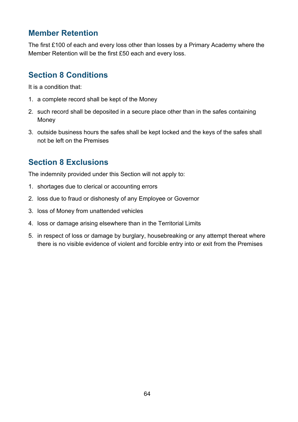# **Member Retention**

The first £100 of each and every loss other than losses by a Primary Academy where the Member Retention will be the first £50 each and every loss.

# **Section 8 Conditions**

It is a condition that:

- 1. a complete record shall be kept of the Money
- 2. such record shall be deposited in a secure place other than in the safes containing Money
- 3. outside business hours the safes shall be kept locked and the keys of the safes shall not be left on the Premises

# **Section 8 Exclusions**

The indemnity provided under this Section will not apply to:

- 1. shortages due to clerical or accounting errors
- 2. loss due to fraud or dishonesty of any Employee or Governor
- 3. loss of Money from unattended vehicles
- 4. loss or damage arising elsewhere than in the Territorial Limits
- 5. in respect of loss or damage by burglary, housebreaking or any attempt thereat where there is no visible evidence of violent and forcible entry into or exit from the Premises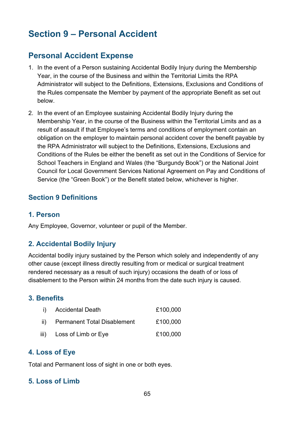# **Section 9 – Personal Accident**

# **Personal Accident Expense**

- 1. In the event of a Person sustaining Accidental Bodily Injury during the Membership Year, in the course of the Business and within the Territorial Limits the RPA Administrator will subject to the Definitions, Extensions, Exclusions and Conditions of the Rules compensate the Member by payment of the appropriate Benefit as set out below.
- 2. In the event of an Employee sustaining Accidental Bodily Injury during the Membership Year, in the course of the Business within the Territorial Limits and as a result of assault if that Employee's terms and conditions of employment contain an obligation on the employer to maintain personal accident cover the benefit payable by the RPA Administrator will subject to the Definitions, Extensions, Exclusions and Conditions of the Rules be either the benefit as set out in the Conditions of Service for School Teachers in England and Wales (the "Burgundy Book") or the National Joint Council for Local Government Services National Agreement on Pay and Conditions of Service (the "Green Book") or the Benefit stated below, whichever is higher.

## **Section 9 Definitions**

#### **1. Person**

Any Employee, Governor, volunteer or pupil of the Member.

## **2. Accidental Bodily Injury**

Accidental bodily injury sustained by the Person which solely and independently of any other cause (except illness directly resulting from or medical or surgical treatment rendered necessary as a result of such injury) occasions the death of or loss of disablement to the Person within 24 months from the date such injury is caused.

#### **3. Benefits**

| i) Accidental Death             | £100,000 |
|---------------------------------|----------|
| ii) Permanent Total Disablement | £100,000 |
| iii) Loss of Limb or Eye        | £100,000 |

#### **4. Loss of Eye**

Total and Permanent loss of sight in one or both eyes.

#### **5. Loss of Limb**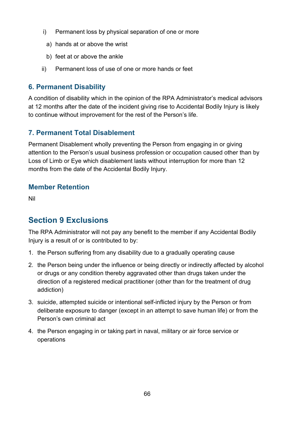- i) Permanent loss by physical separation of one or more
	- a) hands at or above the wrist
- b) feet at or above the ankle
- ii) Permanent loss of use of one or more hands or feet

## **6. Permanent Disability**

A condition of disability which in the opinion of the RPA Administrator's medical advisors at 12 months after the date of the incident giving rise to Accidental Bodily Injury is likely to continue without improvement for the rest of the Person's life.

## **7. Permanent Total Disablement**

Permanent Disablement wholly preventing the Person from engaging in or giving attention to the Person's usual business profession or occupation caused other than by Loss of Limb or Eye which disablement lasts without interruption for more than 12 months from the date of the Accidental Bodily Injury.

## **Member Retention**

Nil

# **Section 9 Exclusions**

The RPA Administrator will not pay any benefit to the member if any Accidental Bodily Injury is a result of or is contributed to by:

- 1. the Person suffering from any disability due to a gradually operating cause
- 2. the Person being under the influence or being directly or indirectly affected by alcohol or drugs or any condition thereby aggravated other than drugs taken under the direction of a registered medical practitioner (other than for the treatment of drug addiction)
- 3. suicide, attempted suicide or intentional self-inflicted injury by the Person or from deliberate exposure to danger (except in an attempt to save human life) or from the Person's own criminal act
- 4. the Person engaging in or taking part in naval, military or air force service or operations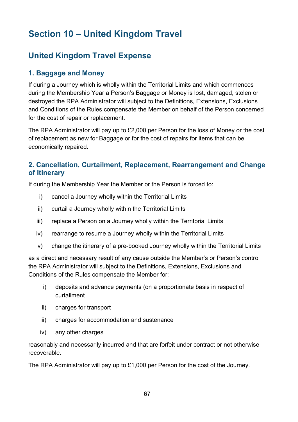# **Section 10 – United Kingdom Travel**

# **United Kingdom Travel Expense**

## **1. Baggage and Money**

If during a Journey which is wholly within the Territorial Limits and which commences during the Membership Year a Person's Baggage or Money is lost, damaged, stolen or destroyed the RPA Administrator will subject to the Definitions, Extensions, Exclusions and Conditions of the Rules compensate the Member on behalf of the Person concerned for the cost of repair or replacement.

The RPA Administrator will pay up to £2,000 per Person for the loss of Money or the cost of replacement as new for Baggage or for the cost of repairs for items that can be economically repaired.

## **2. Cancellation, Curtailment, Replacement, Rearrangement and Change of Itinerary**

If during the Membership Year the Member or the Person is forced to:

- i) cancel a Journey wholly within the Territorial Limits
- ii) curtail a Journey wholly within the Territorial Limits
- iii) replace a Person on a Journey wholly within the Territorial Limits
- iv) rearrange to resume a Journey wholly within the Territorial Limits
- v) change the itinerary of a pre-booked Journey wholly within the Territorial Limits

as a direct and necessary result of any cause outside the Member's or Person's control the RPA Administrator will subject to the Definitions, Extensions, Exclusions and Conditions of the Rules compensate the Member for:

- i) deposits and advance payments (on a proportionate basis in respect of curtailment
- ii) charges for transport
- iii) charges for accommodation and sustenance
- iv) any other charges

reasonably and necessarily incurred and that are forfeit under contract or not otherwise recoverable.

The RPA Administrator will pay up to £1,000 per Person for the cost of the Journey.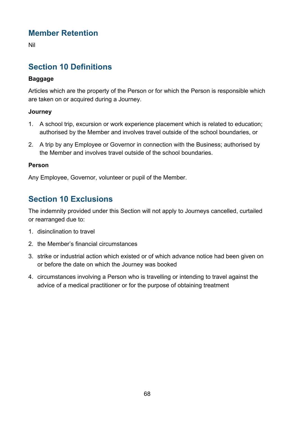# **Member Retention**

Nil

# **Section 10 Definitions**

#### **Baggage**

Articles which are the property of the Person or for which the Person is responsible which are taken on or acquired during a Journey.

#### **Journey**

- 1. A school trip, excursion or work experience placement which is related to education; authorised by the Member and involves travel outside of the school boundaries, or
- 2. A trip by any Employee or Governor in connection with the Business; authorised by the Member and involves travel outside of the school boundaries.

#### **Person**

Any Employee, Governor, volunteer or pupil of the Member.

# **Section 10 Exclusions**

The indemnity provided under this Section will not apply to Journeys cancelled, curtailed or rearranged due to:

- 1. disinclination to travel
- 2. the Member's financial circumstances
- 3. strike or industrial action which existed or of which advance notice had been given on or before the date on which the Journey was booked
- 4. circumstances involving a Person who is travelling or intending to travel against the advice of a medical practitioner or for the purpose of obtaining treatment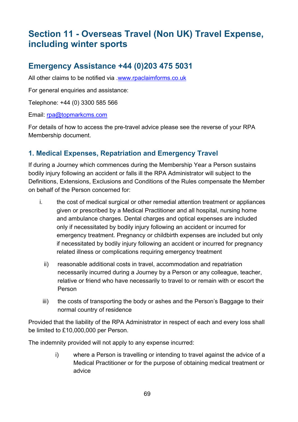# **Section 11 - Overseas Travel (Non UK) Travel Expense, including winter sports**

# **Emergency Assistance +44 (0)203 475 5031**

All other claims to be notified via [.www.rpaclaimforms.co.uk](http://www.rpaclaimforms.co.uk/)

For general enquiries and assistance:

Telephone: +44 (0) 3300 585 566

Email: [rpa@topmarkcms.com](mailto:rpa@topmarkcms.com)

For details of how to access the pre-travel advice please see the reverse of your RPA Membership document.

## **1. Medical Expenses, Repatriation and Emergency Travel**

If during a Journey which commences during the Membership Year a Person sustains bodily injury following an accident or falls ill the RPA Administrator will subject to the Definitions, Extensions, Exclusions and Conditions of the Rules compensate the Member on behalf of the Person concerned for:

- i. the cost of medical surgical or other remedial attention treatment or appliances given or prescribed by a Medical Practitioner and all hospital, nursing home and ambulance charges. Dental charges and optical expenses are included only if necessitated by bodily injury following an accident or incurred for emergency treatment. Pregnancy or childbirth expenses are included but only if necessitated by bodily injury following an accident or incurred for pregnancy related illness or complications requiring emergency treatment
	- ii) reasonable additional costs in travel, accommodation and repatriation necessarily incurred during a Journey by a Person or any colleague, teacher, relative or friend who have necessarily to travel to or remain with or escort the Person
	- iii) the costs of transporting the body or ashes and the Person's Baggage to their normal country of residence

Provided that the liability of the RPA Administrator in respect of each and every loss shall be limited to £10,000,000 per Person.

The indemnity provided will not apply to any expense incurred:

i) where a Person is travelling or intending to travel against the advice of a Medical Practitioner or for the purpose of obtaining medical treatment or advice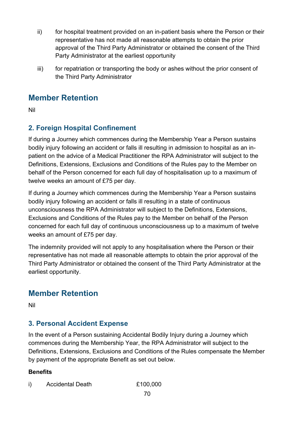- ii) for hospital treatment provided on an in-patient basis where the Person or their representative has not made all reasonable attempts to obtain the prior approval of the Third Party Administrator or obtained the consent of the Third Party Administrator at the earliest opportunity
- iii) for repatriation or transporting the body or ashes without the prior consent of the Third Party Administrator

# **Member Retention**

Nil

# **2. Foreign Hospital Confinement**

If during a Journey which commences during the Membership Year a Person sustains bodily injury following an accident or falls ill resulting in admission to hospital as an inpatient on the advice of a Medical Practitioner the RPA Administrator will subject to the Definitions, Extensions, Exclusions and Conditions of the Rules pay to the Member on behalf of the Person concerned for each full day of hospitalisation up to a maximum of twelve weeks an amount of £75 per day.

If during a Journey which commences during the Membership Year a Person sustains bodily injury following an accident or falls ill resulting in a state of continuous unconsciousness the RPA Administrator will subject to the Definitions, Extensions, Exclusions and Conditions of the Rules pay to the Member on behalf of the Person concerned for each full day of continuous unconsciousness up to a maximum of twelve weeks an amount of £75 per day.

The indemnity provided will not apply to any hospitalisation where the Person or their representative has not made all reasonable attempts to obtain the prior approval of the Third Party Administrator or obtained the consent of the Third Party Administrator at the earliest opportunity.

# **Member Retention**

Nil

## **3. Personal Accident Expense**

In the event of a Person sustaining Accidental Bodily Injury during a Journey which commences during the Membership Year, the RPA Administrator will subject to the Definitions, Extensions, Exclusions and Conditions of the Rules compensate the Member by payment of the appropriate Benefit as set out below.

#### **Benefits**

i) Accidental Death £100,000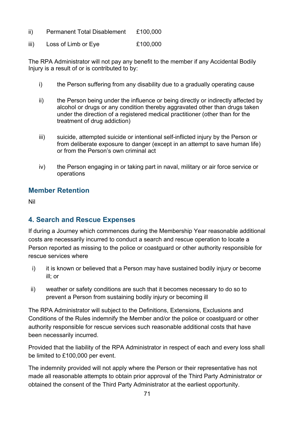- ii) Permanent Total Disablement £100,000
- iii) Loss of Limb or Eye £100,000

The RPA Administrator will not pay any benefit to the member if any Accidental Bodily Injury is a result of or is contributed to by:

- i) the Person suffering from any disability due to a gradually operating cause
- ii) the Person being under the influence or being directly or indirectly affected by alcohol or drugs or any condition thereby aggravated other than drugs taken under the direction of a registered medical practitioner (other than for the treatment of drug addiction)
- iii) suicide, attempted suicide or intentional self-inflicted injury by the Person or from deliberate exposure to danger (except in an attempt to save human life) or from the Person's own criminal act
- iv) the Person engaging in or taking part in naval, military or air force service or operations

#### **Member Retention**

Nil

## **4. Search and Rescue Expenses**

If during a Journey which commences during the Membership Year reasonable additional costs are necessarily incurred to conduct a search and rescue operation to locate a Person reported as missing to the police or coastguard or other authority responsible for rescue services where

- i) it is known or believed that a Person may have sustained bodily injury or become ill; or
- ii) weather or safety conditions are such that it becomes necessary to do so to prevent a Person from sustaining bodily injury or becoming ill

The RPA Administrator will subject to the Definitions, Extensions, Exclusions and Conditions of the Rules indemnify the Member and/or the police or coastguard or other authority responsible for rescue services such reasonable additional costs that have been necessarily incurred.

Provided that the liability of the RPA Administrator in respect of each and every loss shall be limited to £100,000 per event.

The indemnity provided will not apply where the Person or their representative has not made all reasonable attempts to obtain prior approval of the Third Party Administrator or obtained the consent of the Third Party Administrator at the earliest opportunity.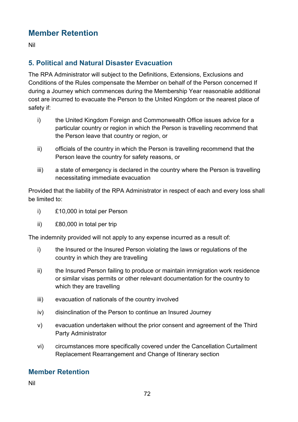# **Member Retention**

Nil

# **5. Political and Natural Disaster Evacuation**

The RPA Administrator will subject to the Definitions, Extensions, Exclusions and Conditions of the Rules compensate the Member on behalf of the Person concerned If during a Journey which commences during the Membership Year reasonable additional cost are incurred to evacuate the Person to the United Kingdom or the nearest place of safety if:

- i) the United Kingdom Foreign and Commonwealth Office issues advice for a particular country or region in which the Person is travelling recommend that the Person leave that country or region, or
- ii) officials of the country in which the Person is travelling recommend that the Person leave the country for safety reasons, or
- iii) a state of emergency is declared in the country where the Person is travelling necessitating immediate evacuation

Provided that the liability of the RPA Administrator in respect of each and every loss shall be limited to:

- i) £10,000 in total per Person
- ii) £80,000 in total per trip

The indemnity provided will not apply to any expense incurred as a result of:

- i) the Insured or the Insured Person violating the laws or regulations of the country in which they are travelling
- ii) the Insured Person failing to produce or maintain immigration work residence or similar visas permits or other relevant documentation for the country to which they are travelling
- iii) evacuation of nationals of the country involved
- iv) disinclination of the Person to continue an Insured Journey
- v) evacuation undertaken without the prior consent and agreement of the Third Party Administrator
- vi) circumstances more specifically covered under the Cancellation Curtailment Replacement Rearrangement and Change of Itinerary section

## **Member Retention**

Nil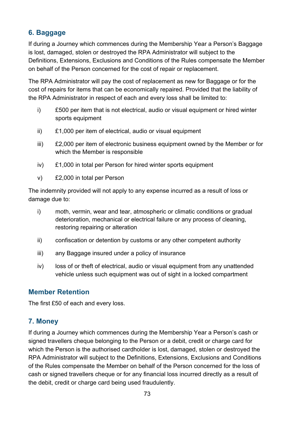### **6. Baggage**

If during a Journey which commences during the Membership Year a Person's Baggage is lost, damaged, stolen or destroyed the RPA Administrator will subject to the Definitions, Extensions, Exclusions and Conditions of the Rules compensate the Member on behalf of the Person concerned for the cost of repair or replacement.

The RPA Administrator will pay the cost of replacement as new for Baggage or for the cost of repairs for items that can be economically repaired. Provided that the liability of the RPA Administrator in respect of each and every loss shall be limited to:

- i) £500 per item that is not electrical, audio or visual equipment or hired winter sports equipment
- ii) £1,000 per item of electrical, audio or visual equipment
- iii) £2,000 per item of electronic business equipment owned by the Member or for which the Member is responsible
- iv) £1,000 in total per Person for hired winter sports equipment
- v) £2,000 in total per Person

The indemnity provided will not apply to any expense incurred as a result of loss or damage due to:

- i) moth, vermin, wear and tear, atmospheric or climatic conditions or gradual deterioration, mechanical or electrical failure or any process of cleaning, restoring repairing or alteration
- ii) confiscation or detention by customs or any other competent authority
- iii) any Baggage insured under a policy of insurance
- iv) loss of or theft of electrical, audio or visual equipment from any unattended vehicle unless such equipment was out of sight in a locked compartment

#### **Member Retention**

The first £50 of each and every loss.

#### **7. Money**

If during a Journey which commences during the Membership Year a Person's cash or signed travellers cheque belonging to the Person or a debit, credit or charge card for which the Person is the authorised cardholder is lost, damaged, stolen or destroyed the RPA Administrator will subject to the Definitions, Extensions, Exclusions and Conditions of the Rules compensate the Member on behalf of the Person concerned for the loss of cash or signed travellers cheque or for any financial loss incurred directly as a result of the debit, credit or charge card being used fraudulently.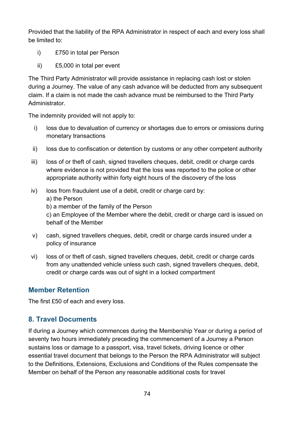Provided that the liability of the RPA Administrator in respect of each and every loss shall be limited to:

- i) £750 in total per Person
- ii) £5,000 in total per event

The Third Party Administrator will provide assistance in replacing cash lost or stolen during a Journey. The value of any cash advance will be deducted from any subsequent claim. If a claim is not made the cash advance must be reimbursed to the Third Party Administrator.

The indemnity provided will not apply to:

- i) loss due to devaluation of currency or shortages due to errors or omissions during monetary transactions
- ii) loss due to confiscation or detention by customs or any other competent authority
- iii) loss of or theft of cash, signed travellers cheques, debit, credit or charge cards where evidence is not provided that the loss was reported to the police or other appropriate authority within forty eight hours of the discovery of the loss
- iv) loss from fraudulent use of a debit, credit or charge card by:
	- a) the Person
	- b) a member of the family of the Person

c) an Employee of the Member where the debit, credit or charge card is issued on behalf of the Member

- v) cash, signed travellers cheques, debit, credit or charge cards insured under a policy of insurance
- vi) loss of or theft of cash, signed travellers cheques, debit, credit or charge cards from any unattended vehicle unless such cash, signed travellers cheques, debit, credit or charge cards was out of sight in a locked compartment

### **Member Retention**

The first £50 of each and every loss.

### **8. Travel Documents**

If during a Journey which commences during the Membership Year or during a period of seventy two hours immediately preceding the commencement of a Journey a Person sustains loss or damage to a passport, visa, travel tickets, driving licence or other essential travel document that belongs to the Person the RPA Administrator will subject to the Definitions, Extensions, Exclusions and Conditions of the Rules compensate the Member on behalf of the Person any reasonable additional costs for travel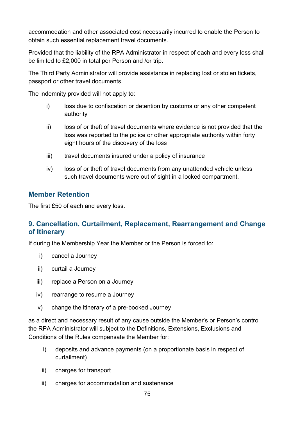accommodation and other associated cost necessarily incurred to enable the Person to obtain such essential replacement travel documents.

Provided that the liability of the RPA Administrator in respect of each and every loss shall be limited to £2,000 in total per Person and /or trip.

The Third Party Administrator will provide assistance in replacing lost or stolen tickets, passport or other travel documents.

The indemnity provided will not apply to:

- i) loss due to confiscation or detention by customs or any other competent authority
- ii) loss of or theft of travel documents where evidence is not provided that the loss was reported to the police or other appropriate authority within forty eight hours of the discovery of the loss
- iii) travel documents insured under a policy of insurance
- iv) loss of or theft of travel documents from any unattended vehicle unless such travel documents were out of sight in a locked compartment.

#### **Member Retention**

The first £50 of each and every loss.

### **9. Cancellation, Curtailment, Replacement, Rearrangement and Change of Itinerary**

If during the Membership Year the Member or the Person is forced to:

- i) cancel a Journey
- ii) curtail a Journey
- iii) replace a Person on a Journey
- iv) rearrange to resume a Journey
- v) change the itinerary of a pre-booked Journey

as a direct and necessary result of any cause outside the Member's or Person's control the RPA Administrator will subject to the Definitions, Extensions, Exclusions and Conditions of the Rules compensate the Member for:

- i) deposits and advance payments (on a proportionate basis in respect of curtailment)
- ii) charges for transport
- iii) charges for accommodation and sustenance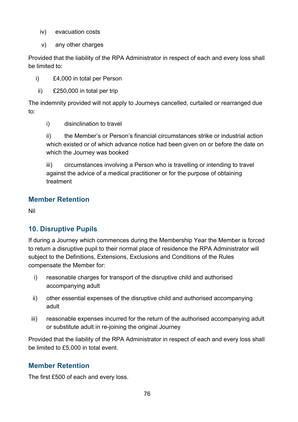- iv) evacuation costs
- v) any other charges

Provided that the liability of the RPA Administrator in respect of each and every loss shall be limited to:

i) £4,000 in total per Person

ii) £250,000 in total per trip

The indemnity provided will not apply to Journeys cancelled, curtailed or rearranged due to:

i) disinclination to travel

ii) the Member's or Person's financial circumstances strike or industrial action which existed or of which advance notice had been given on or before the date on which the Journey was booked

iii) circumstances involving a Person who is travelling or intending to travel against the advice of a medical practitioner or for the purpose of obtaining treatment

#### **Member Retention**

Nil

### **10. Disruptive Pupils**

If during a Journey which commences during the Membership Year the Member is forced to return a disruptive pupil to their normal place of residence the RPA Administrator will subject to the Definitions, Extensions, Exclusions and Conditions of the Rules compensate the Member for:

- i) reasonable charges for transport of the disruptive child and authorised accompanying adult
- ii) other essential expenses of the disruptive child and authorised accompanying adult
- iii) reasonable expenses incurred for the return of the authorised accompanying adult or substitute adult in re-joining the original Journey

Provided that the liability of the RPA Administrator in respect of each and every loss shall be limited to £5,000 in total event.

#### **Member Retention**

The first £500 of each and every loss.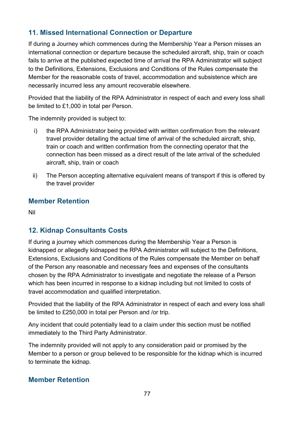### **11. Missed International Connection or Departure**

If during a Journey which commences during the Membership Year a Person misses an international connection or departure because the scheduled aircraft, ship, train or coach fails to arrive at the published expected time of arrival the RPA Administrator will subject to the Definitions, Extensions, Exclusions and Conditions of the Rules compensate the Member for the reasonable costs of travel, accommodation and subsistence which are necessarily incurred less any amount recoverable elsewhere.

Provided that the liability of the RPA Administrator in respect of each and every loss shall be limited to £1,000 in total per Person.

The indemnity provided is subject to:

- i) the RPA Administrator being provided with written confirmation from the relevant travel provider detailing the actual time of arrival of the scheduled aircraft, ship, train or coach and written confirmation from the connecting operator that the connection has been missed as a direct result of the late arrival of the scheduled aircraft, ship, train or coach
- ii) The Person accepting alternative equivalent means of transport if this is offered by the travel provider

#### **Member Retention**

Nil

### **12. Kidnap Consultants Costs**

If during a journey which commences during the Membership Year a Person is kidnapped or allegedly kidnapped the RPA Administrator will subject to the Definitions, Extensions, Exclusions and Conditions of the Rules compensate the Member on behalf of the Person any reasonable and necessary fees and expenses of the consultants chosen by the RPA Administrator to investigate and negotiate the release of a Person which has been incurred in response to a kidnap including but not limited to costs of travel accommodation and qualified interpretation.

Provided that the liability of the RPA Administrator in respect of each and every loss shall be limited to £250,000 in total per Person and /or trip.

Any incident that could potentially lead to a claim under this section must be notified immediately to the Third Party Administrator.

The indemnity provided will not apply to any consideration paid or promised by the Member to a person or group believed to be responsible for the kidnap which is incurred to terminate the kidnap.

#### **Member Retention**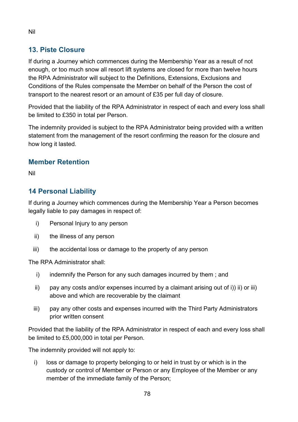### **13. Piste Closure**

If during a Journey which commences during the Membership Year as a result of not enough, or too much snow all resort lift systems are closed for more than twelve hours the RPA Administrator will subject to the Definitions, Extensions, Exclusions and Conditions of the Rules compensate the Member on behalf of the Person the cost of transport to the nearest resort or an amount of £35 per full day of closure.

Provided that the liability of the RPA Administrator in respect of each and every loss shall be limited to £350 in total per Person.

The indemnity provided is subject to the RPA Administrator being provided with a written statement from the management of the resort confirming the reason for the closure and how long it lasted.

#### **Member Retention**

Nil

### **14 Personal Liability**

If during a Journey which commences during the Membership Year a Person becomes legally liable to pay damages in respect of:

- i) Personal Injury to any person
- ii) the illness of any person
- iii) the accidental loss or damage to the property of any person

The RPA Administrator shall:

- i) indemnify the Person for any such damages incurred by them; and
- ii) pay any costs and/or expenses incurred by a claimant arising out of i)) ii) or iii) above and which are recoverable by the claimant
- iii) pay any other costs and expenses incurred with the Third Party Administrators prior written consent

Provided that the liability of the RPA Administrator in respect of each and every loss shall be limited to £5,000,000 in total per Person.

The indemnity provided will not apply to:

i) loss or damage to property belonging to or held in trust by or which is in the custody or control of Member or Person or any Employee of the Member or any member of the immediate family of the Person;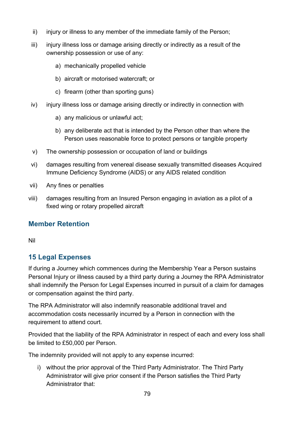- ii) injury or illness to any member of the immediate family of the Person;
- iii) injury illness loss or damage arising directly or indirectly as a result of the ownership possession or use of any:
	- a) mechanically propelled vehicle
	- b) aircraft or motorised watercraft; or
	- c) firearm (other than sporting guns)
- iv) injury illness loss or damage arising directly or indirectly in connection with
	- a) any malicious or unlawful act;
	- b) any deliberate act that is intended by the Person other than where the Person uses reasonable force to protect persons or tangible property
- v) The ownership possession or occupation of land or buildings
- vi) damages resulting from venereal disease sexually transmitted diseases Acquired Immune Deficiency Syndrome (AIDS) or any AIDS related condition
- vii) Any fines or penalties
- viii) damages resulting from an Insured Person engaging in aviation as a pilot of a fixed wing or rotary propelled aircraft

### **Member Retention**

Nil

### **15 Legal Expenses**

If during a Journey which commences during the Membership Year a Person sustains Personal Injury or illness caused by a third party during a Journey the RPA Administrator shall indemnify the Person for Legal Expenses incurred in pursuit of a claim for damages or compensation against the third party.

The RPA Administrator will also indemnify reasonable additional travel and accommodation costs necessarily incurred by a Person in connection with the requirement to attend court.

Provided that the liability of the RPA Administrator in respect of each and every loss shall be limited to £50,000 per Person.

The indemnity provided will not apply to any expense incurred:

i) without the prior approval of the Third Party Administrator. The Third Party Administrator will give prior consent if the Person satisfies the Third Party Administrator that: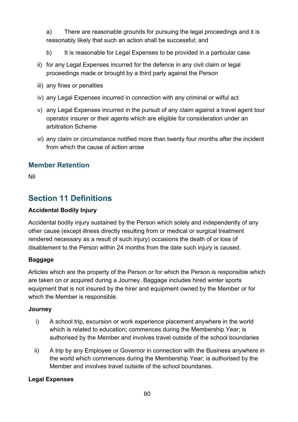a) There are reasonable grounds for pursuing the legal proceedings and it is reasonably likely that such an action shall be successful; and

- b) It is reasonable for Legal Expenses to be provided in a particular case
- ii) for any Legal Expenses incurred for the defence in any civil claim or legal proceedings made or brought by a third party against the Person
- iii) any fines or penalties
- iv) any Legal Expenses incurred in connection with any criminal or wilful act
- v) any Legal Expenses incurred in the pursuit of any claim against a travel agent tour operator insurer or their agents which are eligible for consideration under an arbitration Scheme
- vi) any claim or circumstance notified more than twenty four months after the incident from which the cause of action arose

### **Member Retention**

Nil

# **Section 11 Definitions**

#### **Accidental Bodily Injury**

Accidental bodily injury sustained by the Person which solely and independently of any other cause (except illness directly resulting from or medical or surgical treatment rendered necessary as a result of such injury) occasions the death of or loss of disablement to the Person within 24 months from the date such injury is caused.

#### **Baggage**

Articles which are the property of the Person or for which the Person is responsible which are taken on or acquired during a Journey. Baggage includes hired winter sports equipment that is not insured by the hirer and equipment owned by the Member or for which the Member is responsible.

#### **Journey**

- i) A school trip, excursion or work experience placement anywhere in the world which is related to education; commences during the Membership Year; is authorised by the Member and involves travel outside of the school boundaries
- ii) A trip by any Employee or Governor in connection with the Business anywhere in the world which commences during the Membership Year; is authorised by the Member and involves travel outside of the school boundaries.

#### **Legal Expenses**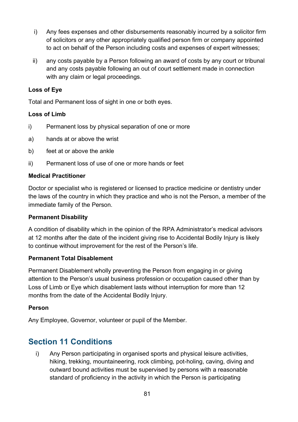- i) Any fees expenses and other disbursements reasonably incurred by a solicitor firm of solicitors or any other appropriately qualified person firm or company appointed to act on behalf of the Person including costs and expenses of expert witnesses;
- ii) any costs payable by a Person following an award of costs by any court or tribunal and any costs payable following an out of court settlement made in connection with any claim or legal proceedings.

#### **Loss of Eye**

Total and Permanent loss of sight in one or both eyes.

#### **Loss of Limb**

- i) Permanent loss by physical separation of one or more
- a) hands at or above the wrist
- b) feet at or above the ankle
- ii) Permanent loss of use of one or more hands or feet

#### **Medical Practitioner**

Doctor or specialist who is registered or licensed to practice medicine or dentistry under the laws of the country in which they practice and who is not the Person, a member of the immediate family of the Person.

#### **Permanent Disability**

A condition of disability which in the opinion of the RPA Administrator's medical advisors at 12 months after the date of the incident giving rise to Accidental Bodily Injury is likely to continue without improvement for the rest of the Person's life.

#### **Permanent Total Disablement**

Permanent Disablement wholly preventing the Person from engaging in or giving attention to the Person's usual business profession or occupation caused other than by Loss of Limb or Eye which disablement lasts without interruption for more than 12 months from the date of the Accidental Bodily Injury.

#### **Person**

Any Employee, Governor, volunteer or pupil of the Member.

### **Section 11 Conditions**

i) Any Person participating in organised sports and physical leisure activities, hiking, trekking, mountaineering, rock climbing, pot-holing, caving, diving and outward bound activities must be supervised by persons with a reasonable standard of proficiency in the activity in which the Person is participating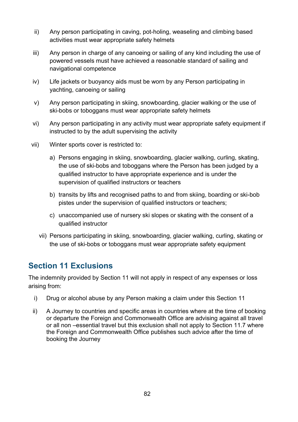- ii) Any person participating in caving, pot-holing, weaseling and climbing based activities must wear appropriate safety helmets
- iii) Any person in charge of any canoeing or sailing of any kind including the use of powered vessels must have achieved a reasonable standard of sailing and navigational competence
- iv) Life jackets or buoyancy aids must be worn by any Person participating in yachting, canoeing or sailing
- v) Any person participating in skiing, snowboarding, glacier walking or the use of ski-bobs or toboggans must wear appropriate safety helmets
- vi) Any person participating in any activity must wear appropriate safety equipment if instructed to by the adult supervising the activity
- vii) Winter sports cover is restricted to:
	- a) Persons engaging in skiing, snowboarding, glacier walking, curling, skating, the use of ski-bobs and toboggans where the Person has been judged by a qualified instructor to have appropriate experience and is under the supervision of qualified instructors or teachers
	- b) transits by lifts and recognised paths to and from skiing, boarding or ski-bob pistes under the supervision of qualified instructors or teachers;
	- c) unaccompanied use of nursery ski slopes or skating with the consent of a qualified instructor
	- vii) Persons participating in skiing, snowboarding, glacier walking, curling, skating or the use of ski-bobs or toboggans must wear appropriate safety equipment

## **Section 11 Exclusions**

The indemnity provided by Section 11 will not apply in respect of any expenses or loss arising from:

- i) Drug or alcohol abuse by any Person making a claim under this Section 11
- ii) A Journey to countries and specific areas in countries where at the time of booking or departure the Foreign and Commonwealth Office are advising against all travel or all non –essential travel but this exclusion shall not apply to Section 11.7 where the Foreign and Commonwealth Office publishes such advice after the time of booking the Journey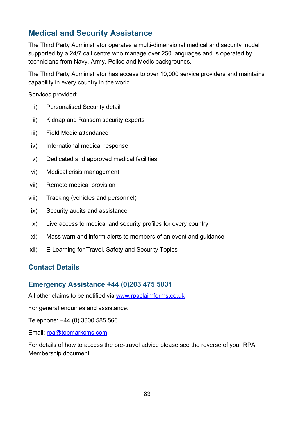# **Medical and Security Assistance**

The Third Party Administrator operates a multi-dimensional medical and security model supported by a 24/7 call centre who manage over 250 languages and is operated by technicians from Navy, Army, Police and Medic backgrounds.

The Third Party Administrator has access to over 10,000 service providers and maintains capability in every country in the world.

Services provided:

- i) Personalised Security detail
- ii) Kidnap and Ransom security experts
- iii) Field Medic attendance
- iv) International medical response
- v) Dedicated and approved medical facilities
- vi) Medical crisis management
- vii) Remote medical provision
- viii) Tracking (vehicles and personnel)
- ix) Security audits and assistance
- x) Live access to medical and security profiles for every country
- xi) Mass warn and inform alerts to members of an event and guidance
- xii) E-Learning for Travel, Safety and Security Topics

#### **Contact Details**

#### **Emergency Assistance +44 (0)203 475 5031**

All other claims to be notified via [www.rpaclaimforms.co.uk](http://www.rpaclaimforms.co.uk/)

For general enquiries and assistance:

Telephone: +44 (0) 3300 585 566

Email: [rpa@topmarkcms.com](mailto:rpa@topmarkcms.com)

For details of how to access the pre-travel advice please see the reverse of your RPA Membership document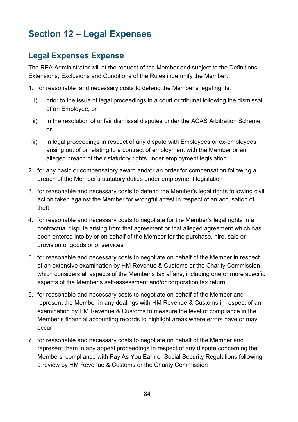# **Section 12 – Legal Expenses**

# **Legal Expenses Expense**

The RPA Administrator will at the request of the Member and subject to the Definitions, Extensions, Exclusions and Conditions of the Rules indemnify the Member:

- 1. for reasonable and necessary costs to defend the Member's legal rights:
	- i) prior to the issue of legal proceedings in a court or tribunal following the dismissal of an Employee; or
	- ii) in the resolution of unfair dismissal disputes under the ACAS Arbitration Scheme; or
- iii) in legal proceedings in respect of any dispute with Employees or ex-employees arising out of or relating to a contract of employment with the Member or an alleged breach of their statutory rights under employment legislation
- 2. for any basic or compensatory award and/or an order for compensation following a breach of the Member's statutory duties under employment legislation
- 3. for reasonable and necessary costs to defend the Member's legal rights following civil action taken against the Member for wrongful arrest in respect of an accusation of theft
- 4. for reasonable and necessary costs to negotiate for the Member's legal rights in a contractual dispute arising from that agreement or that alleged agreement which has been entered into by or on behalf of the Member for the purchase, hire, sale or provision of goods or of services
- 5. for reasonable and necessary costs to negotiate on behalf of the Member in respect of an extensive examination by HM Revenue & Customs or the Charity Commission which considers all aspects of the Member's tax affairs, including one or more specific aspects of the Member's self-assessment and/or corporation tax return
- 6. for reasonable and necessary costs to negotiate on behalf of the Member and represent the Member in any dealings with HM Revenue & Customs in respect of an examination by HM Revenue & Customs to measure the level of compliance in the Member's financial accounting records to highlight areas where errors have or may occur
- 7. for reasonable and necessary costs to negotiate on behalf of the Member and represent them in any appeal proceedings in respect of any dispute concerning the Members' compliance with Pay As You Earn or Social Security Regulations following a review by HM Revenue & Customs or the Charity Commission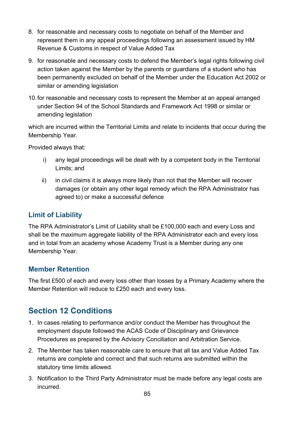- 8. for reasonable and necessary costs to negotiate on behalf of the Member and represent them in any appeal proceedings following an assessment issued by HM Revenue & Customs in respect of Value Added Tax
- 9. for reasonable and necessary costs to defend the Member's legal rights following civil action taken against the Member by the parents or guardians of a student who has been permanently excluded on behalf of the Member under the Education Act 2002 or similar or amending legislation
- 10.for reasonable and necessary costs to represent the Member at an appeal arranged under Section 94 of the School Standards and Framework Act 1998 or similar or amending legislation

which are incurred within the Territorial Limits and relate to incidents that occur during the Membership Year.

Provided always that:

- i) any legal proceedings will be dealt with by a competent body in the Territorial Limits; and
- ii) in civil claims it is always more likely than not that the Member will recover damages (or obtain any other legal remedy which the RPA Administrator has agreed to) or make a successful defence

### **Limit of Liability**

The RPA Administrator's Limit of Liability shall be £100,000 each and every Loss and shall be the maximum aggregate liability of the RPA Administrator each and every loss and in total from an academy whose Academy Trust is a Member during any one Membership Year.

#### **Member Retention**

The first £500 of each and every loss other than losses by a Primary Academy where the Member Retention will reduce to £250 each and every loss.

# **Section 12 Conditions**

- 1. In cases relating to performance and/or conduct the Member has throughout the employment dispute followed the ACAS Code of Disciplinary and Grievance Procedures as prepared by the Advisory Conciliation and Arbitration Service.
- 2. The Member has taken reasonable care to ensure that all tax and Value Added Tax returns are complete and correct and that such returns are submitted within the statutory time limits allowed.
- 3. Notification to the Third Party Administrator must be made before any legal costs are incurred.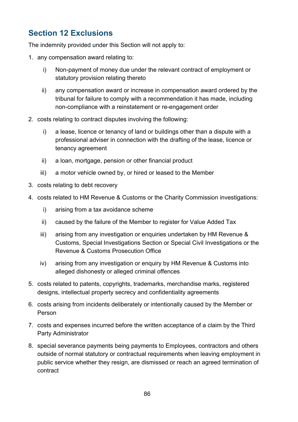# **Section 12 Exclusions**

The indemnity provided under this Section will not apply to:

- 1. any compensation award relating to:
	- i) Non-payment of money due under the relevant contract of employment or statutory provision relating thereto
	- ii) any compensation award or increase in compensation award ordered by the tribunal for failure to comply with a recommendation it has made, including non-compliance with a reinstatement or re-engagement order
- 2. costs relating to contract disputes involving the following:
	- i) a lease, licence or tenancy of land or buildings other than a dispute with a professional adviser in connection with the drafting of the lease, licence or tenancy agreement
	- ii) a loan, mortgage, pension or other financial product
	- iii) a motor vehicle owned by, or hired or leased to the Member
- 3. costs relating to debt recovery
- 4. costs related to HM Revenue & Customs or the Charity Commission investigations:
	- i) arising from a tax avoidance scheme
	- ii) caused by the failure of the Member to register for Value Added Tax
	- iii) arising from any investigation or enquiries undertaken by HM Revenue & Customs, Special Investigations Section or Special Civil Investigations or the Revenue & Customs Prosecution Office
	- iv) arising from any investigation or enquiry by HM Revenue & Customs into alleged dishonesty or alleged criminal offences
- 5. costs related to patents, copyrights, trademarks, merchandise marks, registered designs, intellectual property secrecy and confidentiality agreements
- 6. costs arising from incidents deliberately or intentionally caused by the Member or Person
- 7. costs and expenses incurred before the written acceptance of a claim by the Third Party Administrator
- 8. special severance payments being payments to Employees, contractors and others outside of normal statutory or contractual requirements when leaving employment in public service whether they resign, are dismissed or reach an agreed termination of contract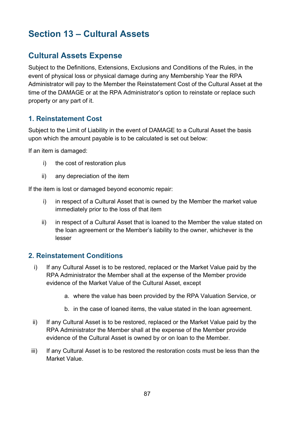# **Section 13 – Cultural Assets**

# **Cultural Assets Expense**

Subject to the Definitions, Extensions, Exclusions and Conditions of the Rules, in the event of physical loss or physical damage during any Membership Year the RPA Administrator will pay to the Member the Reinstatement Cost of the Cultural Asset at the time of the DAMAGE or at the RPA Administrator's option to reinstate or replace such property or any part of it.

#### **1. Reinstatement Cost**

Subject to the Limit of Liability in the event of DAMAGE to a Cultural Asset the basis upon which the amount payable is to be calculated is set out below:

If an item is damaged:

- i) the cost of restoration plus
- ii) any depreciation of the item

If the item is lost or damaged beyond economic repair:

- i) in respect of a Cultural Asset that is owned by the Member the market value immediately prior to the loss of that item
- ii) in respect of a Cultural Asset that is loaned to the Member the value stated on the loan agreement or the Member's liability to the owner, whichever is the lesser

#### **2. Reinstatement Conditions**

- i) If any Cultural Asset is to be restored, replaced or the Market Value paid by the RPA Administrator the Member shall at the expense of the Member provide evidence of the Market Value of the Cultural Asset, except
	- a. where the value has been provided by the RPA Valuation Service, or
	- b. in the case of loaned items, the value stated in the loan agreement.
- ii) If any Cultural Asset is to be restored, replaced or the Market Value paid by the RPA Administrator the Member shall at the expense of the Member provide evidence of the Cultural Asset is owned by or on loan to the Member.
- iii) If any Cultural Asset is to be restored the restoration costs must be less than the Market Value.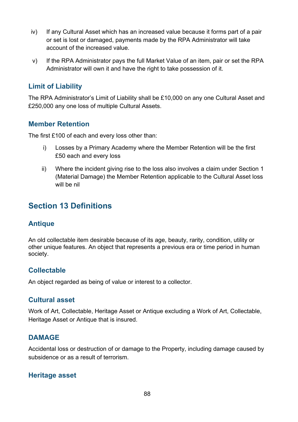- iv) If any Cultural Asset which has an increased value because it forms part of a pair or set is lost or damaged, payments made by the RPA Administrator will take account of the increased value.
- v) If the RPA Administrator pays the full Market Value of an item, pair or set the RPA Administrator will own it and have the right to take possession of it.

#### **Limit of Liability**

The RPA Administrator's Limit of Liability shall be £10,000 on any one Cultural Asset and £250,000 any one loss of multiple Cultural Assets.

#### **Member Retention**

The first £100 of each and every loss other than:

- i) Losses by a Primary Academy where the Member Retention will be the first £50 each and every loss
- ii) Where the incident giving rise to the loss also involves a claim under Section 1 (Material Damage) the Member Retention applicable to the Cultural Asset loss will be nil

## **Section 13 Definitions**

#### **Antique**

An old collectable item desirable because of its age, beauty, rarity, condition, utility or other unique features. An object that represents a previous era or time period in human society.

#### **Collectable**

An object regarded as being of value or interest to a collector.

#### **Cultural asset**

Work of Art, Collectable, Heritage Asset or Antique excluding a Work of Art, Collectable, Heritage Asset or Antique that is insured.

#### **DAMAGE**

Accidental loss or destruction of or damage to the Property, including damage caused by subsidence or as a result of terrorism.

#### **Heritage asset**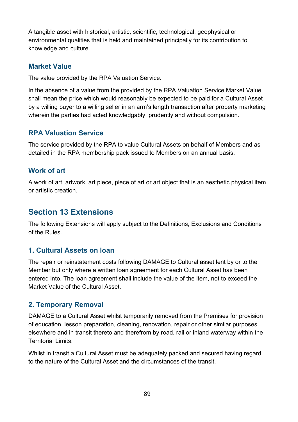A tangible asset with historical, artistic, scientific, technological, geophysical or environmental qualities that is held and maintained principally for its contribution to knowledge and culture.

#### **Market Value**

The value provided by the RPA Valuation Service.

In the absence of a value from the provided by the RPA Valuation Service Market Value shall mean the price which would reasonably be expected to be paid for a Cultural Asset by a willing buyer to a willing seller in an arm's length transaction after property marketing wherein the parties had acted knowledgably, prudently and without compulsion.

#### **RPA Valuation Service**

The service provided by the RPA to value Cultural Assets on behalf of Members and as detailed in the RPA membership pack issued to Members on an annual basis.

#### **Work of art**

A work of art, artwork, art piece, piece of art or art object that is an aesthetic physical item or artistic creation.

### **Section 13 Extensions**

The following Extensions will apply subject to the Definitions, Exclusions and Conditions of the Rules.

#### **1. Cultural Assets on loan**

The repair or reinstatement costs following DAMAGE to Cultural asset lent by or to the Member but only where a written loan agreement for each Cultural Asset has been entered into. The loan agreement shall include the value of the item, not to exceed the Market Value of the Cultural Asset.

### **2. Temporary Removal**

DAMAGE to a Cultural Asset whilst temporarily removed from the Premises for provision of education, lesson preparation, cleaning, renovation, repair or other similar purposes elsewhere and in transit thereto and therefrom by road, rail or inland waterway within the Territorial Limits.

Whilst in transit a Cultural Asset must be adequately packed and secured having regard to the nature of the Cultural Asset and the circumstances of the transit.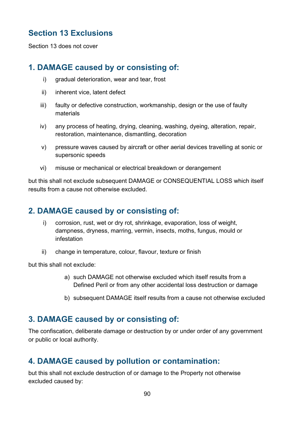# **Section 13 Exclusions**

Section 13 does not cover

# **1. DAMAGE caused by or consisting of:**

- i) gradual deterioration, wear and tear, frost
- ii) inherent vice, latent defect
- iii) faulty or defective construction, workmanship, design or the use of faulty materials
- iv) any process of heating, drying, cleaning, washing, dyeing, alteration, repair, restoration, maintenance, dismantling, decoration
- v) pressure waves caused by aircraft or other aerial devices travelling at sonic or supersonic speeds
- vi) misuse or mechanical or electrical breakdown or derangement

but this shall not exclude subsequent DAMAGE or CONSEQUENTIAL LOSS which itself results from a cause not otherwise excluded.

### **2. DAMAGE caused by or consisting of:**

- i) corrosion, rust, wet or dry rot, shrinkage, evaporation, loss of weight, dampness, dryness, marring, vermin, insects, moths, fungus, mould or infestation
- ii) change in temperature, colour, flavour, texture or finish

but this shall not exclude:

- a) such DAMAGE not otherwise excluded which itself results from a Defined Peril or from any other accidental loss destruction or damage
- b) subsequent DAMAGE itself results from a cause not otherwise excluded

## **3. DAMAGE caused by or consisting of:**

The confiscation, deliberate damage or destruction by or under order of any government or public or local authority.

### **4. DAMAGE caused by pollution or contamination:**

but this shall not exclude destruction of or damage to the Property not otherwise excluded caused by: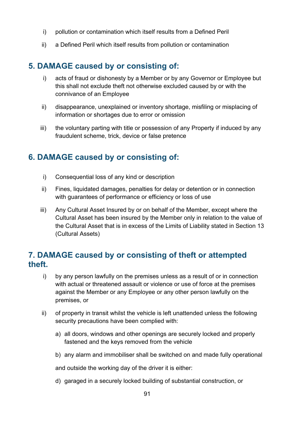- i) pollution or contamination which itself results from a Defined Peril
- ii) a Defined Peril which itself results from pollution or contamination

### **5. DAMAGE caused by or consisting of:**

- i) acts of fraud or dishonesty by a Member or by any Governor or Employee but this shall not exclude theft not otherwise excluded caused by or with the connivance of an Employee
- ii) disappearance, unexplained or inventory shortage, misfiling or misplacing of information or shortages due to error or omission
- iii) the voluntary parting with title or possession of any Property if induced by any fraudulent scheme, trick, device or false pretence

### **6. DAMAGE caused by or consisting of:**

- i) Consequential loss of any kind or description
- ii) Fines, liquidated damages, penalties for delay or detention or in connection with guarantees of performance or efficiency or loss of use
- iii) Any Cultural Asset Insured by or on behalf of the Member, except where the Cultural Asset has been insured by the Member only in relation to the value of the Cultural Asset that is in excess of the Limits of Liability stated in Section 13 (Cultural Assets)

### **7. DAMAGE caused by or consisting of theft or attempted theft.**

- i) by any person lawfully on the premises unless as a result of or in connection with actual or threatened assault or violence or use of force at the premises against the Member or any Employee or any other person lawfully on the premises, or
- ii) of property in transit whilst the vehicle is left unattended unless the following security precautions have been complied with:
	- a) all doors, windows and other openings are securely locked and properly fastened and the keys removed from the vehicle
	- b) any alarm and immobiliser shall be switched on and made fully operational

and outside the working day of the driver it is either:

d) garaged in a securely locked building of substantial construction, or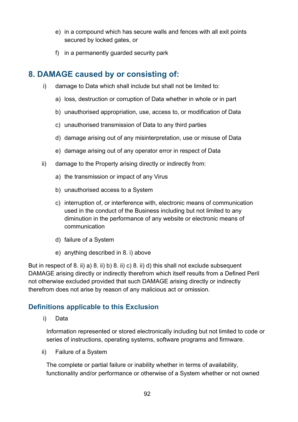- e) in a compound which has secure walls and fences with all exit points secured by locked gates, or
- f) in a permanently guarded security park

## **8. DAMAGE caused by or consisting of:**

- i) damage to Data which shall include but shall not be limited to:
	- a) loss, destruction or corruption of Data whether in whole or in part
	- b) unauthorised appropriation, use, access to, or modification of Data
	- c) unauthorised transmission of Data to any third parties
	- d) damage arising out of any misinterpretation, use or misuse of Data
	- e) damage arising out of any operator error in respect of Data
- ii) damage to the Property arising directly or indirectly from:
	- a) the transmission or impact of any Virus
	- b) unauthorised access to a System
	- c) interruption of, or interference with, electronic means of communication used in the conduct of the Business including but not limited to any diminution in the performance of any website or electronic means of communication
	- d) failure of a System
	- e) anything described in 8. i) above

But in respect of 8. ii) a) 8. ii) b) 8. ii) c) 8. ii) d) this shall not exclude subsequent DAMAGE arising directly or indirectly therefrom which itself results from a Defined Peril not otherwise excluded provided that such DAMAGE arising directly or indirectly therefrom does not arise by reason of any malicious act or omission.

#### **Definitions applicable to this Exclusion**

i) Data

Information represented or stored electronically including but not limited to code or series of instructions, operating systems, software programs and firmware.

ii) Failure of a System

The complete or partial failure or inability whether in terms of availability, functionality and/or performance or otherwise of a System whether or not owned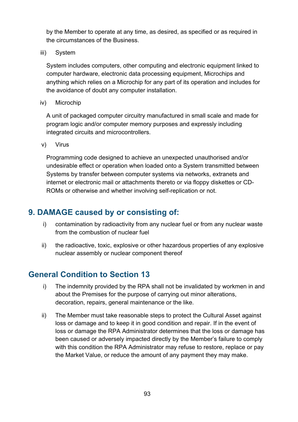by the Member to operate at any time, as desired, as specified or as required in the circumstances of the Business.

iii) System

System includes computers, other computing and electronic equipment linked to computer hardware, electronic data processing equipment, Microchips and anything which relies on a Microchip for any part of its operation and includes for the avoidance of doubt any computer installation.

iv) Microchip

A unit of packaged computer circuitry manufactured in small scale and made for program logic and/or computer memory purposes and expressly including integrated circuits and microcontrollers.

v) Virus

Programming code designed to achieve an unexpected unauthorised and/or undesirable effect or operation when loaded onto a System transmitted between Systems by transfer between computer systems via networks, extranets and internet or electronic mail or attachments thereto or via floppy diskettes or CD-ROMs or otherwise and whether involving self-replication or not.

### **9. DAMAGE caused by or consisting of:**

- i) contamination by radioactivity from any nuclear fuel or from any nuclear waste from the combustion of nuclear fuel
- ii) the radioactive, toxic, explosive or other hazardous properties of any explosive nuclear assembly or nuclear component thereof

### **General Condition to Section 13**

- i) The indemnity provided by the RPA shall not be invalidated by workmen in and about the Premises for the purpose of carrying out minor alterations, decoration, repairs, general maintenance or the like.
- ii) The Member must take reasonable steps to protect the Cultural Asset against loss or damage and to keep it in good condition and repair. If in the event of loss or damage the RPA Administrator determines that the loss or damage has been caused or adversely impacted directly by the Member's failure to comply with this condition the RPA Administrator may refuse to restore, replace or pay the Market Value, or reduce the amount of any payment they may make.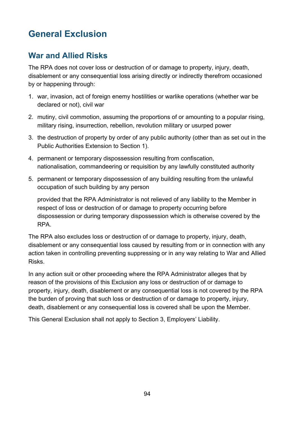# **General Exclusion**

# **War and Allied Risks**

The RPA does not cover loss or destruction of or damage to property, injury, death, disablement or any consequential loss arising directly or indirectly therefrom occasioned by or happening through:

- 1. war, invasion, act of foreign enemy hostilities or warlike operations (whether war be declared or not), civil war
- 2. mutiny, civil commotion, assuming the proportions of or amounting to a popular rising, military rising, insurrection, rebellion, revolution military or usurped power
- 3. the destruction of property by order of any public authority (other than as set out in the Public Authorities Extension to Section 1).
- 4. permanent or temporary dispossession resulting from confiscation, nationalisation, commandeering or requisition by any lawfully constituted authority
- 5. permanent or temporary dispossession of any building resulting from the unlawful occupation of such building by any person

provided that the RPA Administrator is not relieved of any liability to the Member in respect of loss or destruction of or damage to property occurring before dispossession or during temporary dispossession which is otherwise covered by the RPA.

The RPA also excludes loss or destruction of or damage to property, injury, death, disablement or any consequential loss caused by resulting from or in connection with any action taken in controlling preventing suppressing or in any way relating to War and Allied Risks.

In any action suit or other proceeding where the RPA Administrator alleges that by reason of the provisions of this Exclusion any loss or destruction of or damage to property, injury, death, disablement or any consequential loss is not covered by the RPA the burden of proving that such loss or destruction of or damage to property, injury, death, disablement or any consequential loss is covered shall be upon the Member.

This General Exclusion shall not apply to Section 3, Employers' Liability.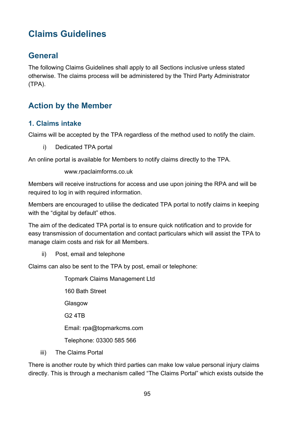# **Claims Guidelines**

## **General**

The following Claims Guidelines shall apply to all Sections inclusive unless stated otherwise. The claims process will be administered by the Third Party Administrator (TPA).

# **Action by the Member**

#### **1. Claims intake**

Claims will be accepted by the TPA regardless of the method used to notify the claim.

i) Dedicated TPA portal

An online portal is available for Members to notify claims directly to the TPA.

www.rpaclaimforms.co.uk

Members will receive instructions for access and use upon joining the RPA and will be required to log in with required information.

Members are encouraged to utilise the dedicated TPA portal to notify claims in keeping with the "digital by default" ethos.

The aim of the dedicated TPA portal is to ensure quick notification and to provide for easy transmission of documentation and contact particulars which will assist the TPA to manage claim costs and risk for all Members.

ii) Post, email and telephone

Claims can also be sent to the TPA by post, email or telephone:

Topmark Claims Management Ltd 160 Bath Street Glasgow G2 4TB Email: rpa@topmarkcms.com Telephone: 03300 585 566

iii) The Claims Portal

There is another route by which third parties can make low value personal injury claims directly. This is through a mechanism called "The Claims Portal" which exists outside the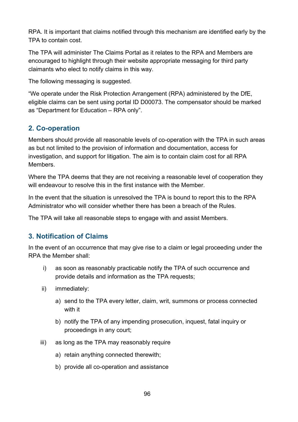RPA. It is important that claims notified through this mechanism are identified early by the TPA to contain cost.

The TPA will administer The Claims Portal as it relates to the RPA and Members are encouraged to highlight through their website appropriate messaging for third party claimants who elect to notify claims in this way.

The following messaging is suggested.

"We operate under the Risk Protection Arrangement (RPA) administered by the DfE, eligible claims can be sent using portal ID D00073. The compensator should be marked as "Department for Education – RPA only".

### **2. Co-operation**

Members should provide all reasonable levels of co-operation with the TPA in such areas as but not limited to the provision of information and documentation, access for investigation, and support for litigation. The aim is to contain claim cost for all RPA Members.

Where the TPA deems that they are not receiving a reasonable level of cooperation they will endeavour to resolve this in the first instance with the Member.

In the event that the situation is unresolved the TPA is bound to report this to the RPA Administrator who will consider whether there has been a breach of the Rules.

The TPA will take all reasonable steps to engage with and assist Members.

### **3. Notification of Claims**

In the event of an occurrence that may give rise to a claim or legal proceeding under the RPA the Member shall:

- i) as soon as reasonably practicable notify the TPA of such occurrence and provide details and information as the TPA requests;
- ii) immediately:
	- a) send to the TPA every letter, claim, writ, summons or process connected with it
	- b) notify the TPA of any impending prosecution, inquest, fatal inquiry or proceedings in any court;
- iii) as long as the TPA may reasonably require
	- a) retain anything connected therewith;
	- b) provide all co-operation and assistance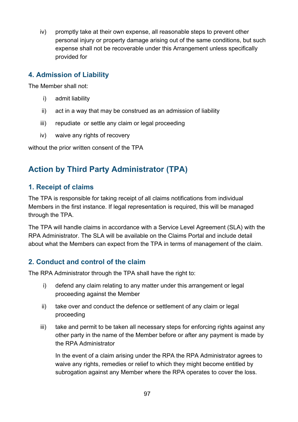iv) promptly take at their own expense, all reasonable steps to prevent other personal injury or property damage arising out of the same conditions, but such expense shall not be recoverable under this Arrangement unless specifically provided for

#### **4. Admission of Liability**

The Member shall not:

- i) admit liability
- ii) act in a way that may be construed as an admission of liability
- iii) repudiate or settle any claim or legal proceeding
- iv) waive any rights of recovery

without the prior written consent of the TPA

# **Action by Third Party Administrator (TPA)**

#### **1. Receipt of claims**

The TPA is responsible for taking receipt of all claims notifications from individual Members in the first instance. If legal representation is required, this will be managed through the TPA.

The TPA will handle claims in accordance with a Service Level Agreement (SLA) with the RPA Administrator. The SLA will be available on the Claims Portal and include detail about what the Members can expect from the TPA in terms of management of the claim.

### **2. Conduct and control of the claim**

The RPA Administrator through the TPA shall have the right to:

- i) defend any claim relating to any matter under this arrangement or legal proceeding against the Member
- ii) take over and conduct the defence or settlement of any claim or legal proceeding
- iii) take and permit to be taken all necessary steps for enforcing rights against any other party in the name of the Member before or after any payment is made by the RPA Administrator

In the event of a claim arising under the RPA the RPA Administrator agrees to waive any rights, remedies or relief to which they might become entitled by subrogation against any Member where the RPA operates to cover the loss.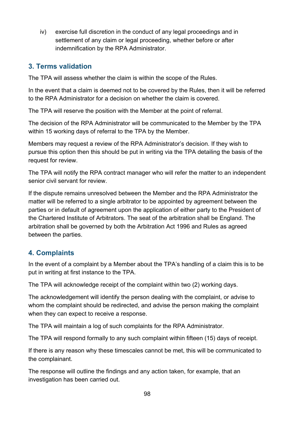iv) exercise full discretion in the conduct of any legal proceedings and in settlement of any claim or legal proceeding, whether before or after indemnification by the RPA Administrator.

#### **3. Terms validation**

The TPA will assess whether the claim is within the scope of the Rules.

In the event that a claim is deemed not to be covered by the Rules, then it will be referred to the RPA Administrator for a decision on whether the claim is covered.

The TPA will reserve the position with the Member at the point of referral.

The decision of the RPA Administrator will be communicated to the Member by the TPA within 15 working days of referral to the TPA by the Member.

Members may request a review of the RPA Administrator's decision. If they wish to pursue this option then this should be put in writing via the TPA detailing the basis of the request for review.

The TPA will notify the RPA contract manager who will refer the matter to an independent senior civil servant for review.

If the dispute remains unresolved between the Member and the RPA Administrator the matter will be referred to a single arbitrator to be appointed by agreement between the parties or in default of agreement upon the application of either party to the President of the Chartered Institute of Arbitrators. The seat of the arbitration shall be England. The arbitration shall be governed by both the Arbitration Act 1996 and Rules as agreed between the parties.

### **4. Complaints**

In the event of a complaint by a Member about the TPA's handling of a claim this is to be put in writing at first instance to the TPA.

The TPA will acknowledge receipt of the complaint within two (2) working days.

The acknowledgement will identify the person dealing with the complaint, or advise to whom the complaint should be redirected, and advise the person making the complaint when they can expect to receive a response.

The TPA will maintain a log of such complaints for the RPA Administrator.

The TPA will respond formally to any such complaint within fifteen (15) days of receipt.

If there is any reason why these timescales cannot be met, this will be communicated to the complainant.

The response will outline the findings and any action taken, for example, that an investigation has been carried out.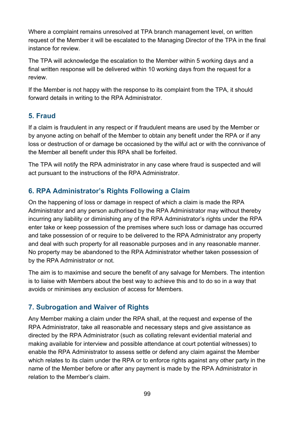Where a complaint remains unresolved at TPA branch management level, on written request of the Member it will be escalated to the Managing Director of the TPA in the final instance for review.

The TPA will acknowledge the escalation to the Member within 5 working days and a final written response will be delivered within 10 working days from the request for a review.

If the Member is not happy with the response to its complaint from the TPA, it should forward details in writing to the RPA Administrator.

### **5. Fraud**

If a claim is fraudulent in any respect or if fraudulent means are used by the Member or by anyone acting on behalf of the Member to obtain any benefit under the RPA or if any loss or destruction of or damage be occasioned by the wilful act or with the connivance of the Member all benefit under this RPA shall be forfeited.

The TPA will notify the RPA administrator in any case where fraud is suspected and will act pursuant to the instructions of the RPA Administrator.

### **6. RPA Administrator's Rights Following a Claim**

On the happening of loss or damage in respect of which a claim is made the RPA Administrator and any person authorised by the RPA Administrator may without thereby incurring any liability or diminishing any of the RPA Administrator's rights under the RPA enter take or keep possession of the premises where such loss or damage has occurred and take possession of or require to be delivered to the RPA Administrator any property and deal with such property for all reasonable purposes and in any reasonable manner. No property may be abandoned to the RPA Administrator whether taken possession of by the RPA Administrator or not.

The aim is to maximise and secure the benefit of any salvage for Members. The intention is to liaise with Members about the best way to achieve this and to do so in a way that avoids or minimises any exclusion of access for Members.

### **7. Subrogation and Waiver of Rights**

Any Member making a claim under the RPA shall, at the request and expense of the RPA Administrator, take all reasonable and necessary steps and give assistance as directed by the RPA Administrator (such as collating relevant evidential material and making available for interview and possible attendance at court potential witnesses) to enable the RPA Administrator to assess settle or defend any claim against the Member which relates to its claim under the RPA or to enforce rights against any other party in the name of the Member before or after any payment is made by the RPA Administrator in relation to the Member's claim.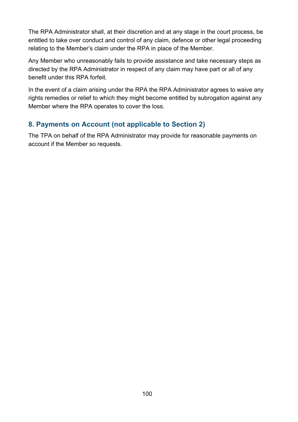The RPA Administrator shall, at their discretion and at any stage in the court process, be entitled to take over conduct and control of any claim, defence or other legal proceeding relating to the Member's claim under the RPA in place of the Member.

Any Member who unreasonably fails to provide assistance and take necessary steps as directed by the RPA Administrator in respect of any claim may have part or all of any benefit under this RPA forfeit.

In the event of a claim arising under the RPA the RPA Administrator agrees to waive any rights remedies or relief to which they might become entitled by subrogation against any Member where the RPA operates to cover the loss.

### **8. Payments on Account (not applicable to Section 2)**

The TPA on behalf of the RPA Administrator may provide for reasonable payments on account if the Member so requests.